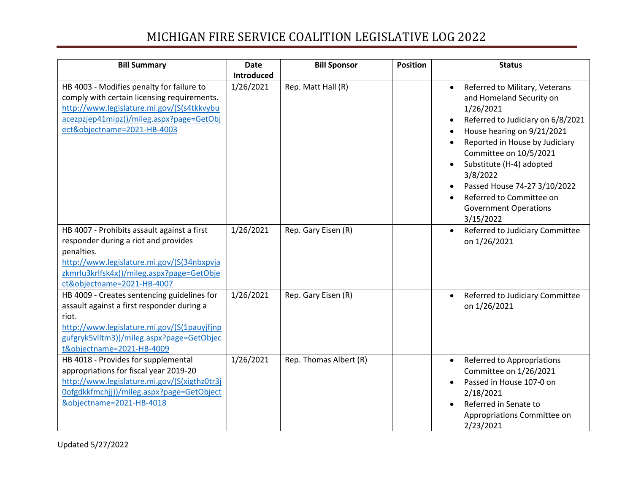| <b>Bill Summary</b>                                                                                                                                                                                                         | <b>Date</b> | <b>Bill Sponsor</b>    | <b>Position</b> | <b>Status</b>                                                                                                                                                                                                                                                                                                                                                                     |
|-----------------------------------------------------------------------------------------------------------------------------------------------------------------------------------------------------------------------------|-------------|------------------------|-----------------|-----------------------------------------------------------------------------------------------------------------------------------------------------------------------------------------------------------------------------------------------------------------------------------------------------------------------------------------------------------------------------------|
|                                                                                                                                                                                                                             | Introduced  |                        |                 |                                                                                                                                                                                                                                                                                                                                                                                   |
| HB 4003 - Modifies penalty for failure to<br>comply with certain licensing requirements.<br>http://www.legislature.mi.gov/(S(s4tkkvybu<br>acezpzjep41mipz))/mileg.aspx?page=GetObj<br>ect&objectname=2021-HB-4003           | 1/26/2021   | Rep. Matt Hall (R)     |                 | Referred to Military, Veterans<br>$\bullet$<br>and Homeland Security on<br>1/26/2021<br>Referred to Judiciary on 6/8/2021<br>$\bullet$<br>House hearing on 9/21/2021<br>Reported in House by Judiciary<br>Committee on 10/5/2021<br>Substitute (H-4) adopted<br>3/8/2022<br>Passed House 74-27 3/10/2022<br>Referred to Committee on<br><b>Government Operations</b><br>3/15/2022 |
| HB 4007 - Prohibits assault against a first<br>responder during a riot and provides<br>penalties.<br>http://www.legislature.mi.gov/(S(34nbxpvja<br>zkmrlu3krlfsk4x))/mileg.aspx?page=GetObje<br>ct&objectname=2021-HB-4007  | 1/26/2021   | Rep. Gary Eisen (R)    |                 | Referred to Judiciary Committee<br>$\bullet$<br>on 1/26/2021                                                                                                                                                                                                                                                                                                                      |
| HB 4009 - Creates sentencing guidelines for<br>assault against a first responder during a<br>riot.<br>http://www.legislature.mi.gov/(S(1pauyjfjnp<br>gufgryk5vlltm3))/mileg.aspx?page=GetObjec<br>t&objectname=2021-HB-4009 | 1/26/2021   | Rep. Gary Eisen (R)    |                 | Referred to Judiciary Committee<br>$\bullet$<br>on 1/26/2021                                                                                                                                                                                                                                                                                                                      |
| HB 4018 - Provides for supplemental<br>appropriations for fiscal year 2019-20<br>http://www.legislature.mi.gov/(S(xigthz0tr3j<br>Oofgdkkfmchjj))/mileg.aspx?page=GetObject<br>&objectname=2021-HB-4018                      | 1/26/2021   | Rep. Thomas Albert (R) |                 | Referred to Appropriations<br>$\bullet$<br>Committee on 1/26/2021<br>Passed in House 107-0 on<br>2/18/2021<br>Referred in Senate to<br>Appropriations Committee on<br>2/23/2021                                                                                                                                                                                                   |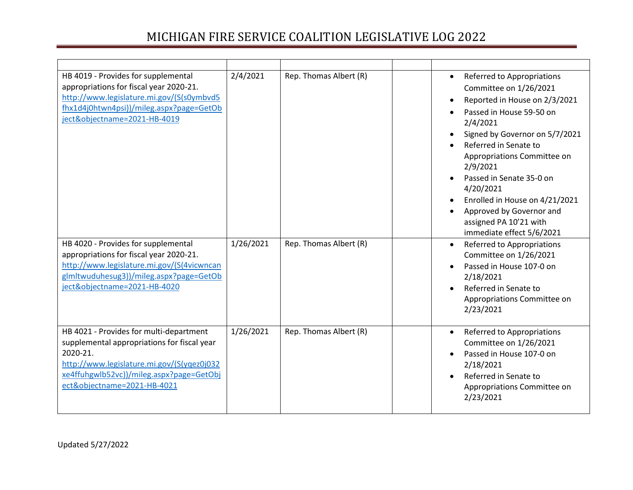| HB 4019 - Provides for supplemental<br>appropriations for fiscal year 2020-21.<br>http://www.legislature.mi.gov/(S(s0ymbvd5<br>fhx1d4j0htwn4psi))/mileg.aspx?page=GetOb<br>ject&objectname=2021-HB-4019                     | 2/4/2021  | Rep. Thomas Albert (R) | Referred to Appropriations<br>$\bullet$<br>Committee on 1/26/2021<br>Reported in House on 2/3/2021<br>Passed in House 59-50 on<br>2/4/2021<br>Signed by Governor on 5/7/2021<br>Referred in Senate to<br>$\bullet$<br>Appropriations Committee on<br>2/9/2021<br>Passed in Senate 35-0 on<br>4/20/2021<br>Enrolled in House on 4/21/2021<br>Approved by Governor and<br>assigned PA 10'21 with<br>immediate effect 5/6/2021 |
|-----------------------------------------------------------------------------------------------------------------------------------------------------------------------------------------------------------------------------|-----------|------------------------|-----------------------------------------------------------------------------------------------------------------------------------------------------------------------------------------------------------------------------------------------------------------------------------------------------------------------------------------------------------------------------------------------------------------------------|
| HB 4020 - Provides for supplemental<br>appropriations for fiscal year 2020-21.<br>http://www.legislature.mi.gov/(S(4vicwncan<br>glmltwuduhesug3))/mileg.aspx?page=GetOb<br>ject&objectname=2021-HB-4020                     | 1/26/2021 | Rep. Thomas Albert (R) | Referred to Appropriations<br>$\bullet$<br>Committee on 1/26/2021<br>Passed in House 107-0 on<br>2/18/2021<br>Referred in Senate to<br>Appropriations Committee on<br>2/23/2021                                                                                                                                                                                                                                             |
| HB 4021 - Provides for multi-department<br>supplemental appropriations for fiscal year<br>2020-21.<br>http://www.legislature.mi.gov/(S(yqez0j032<br>xe4ffuhgwlb52vc))/mileg.aspx?page=GetObj<br>ect&objectname=2021-HB-4021 | 1/26/2021 | Rep. Thomas Albert (R) | Referred to Appropriations<br>$\bullet$<br>Committee on 1/26/2021<br>Passed in House 107-0 on<br>2/18/2021<br>Referred in Senate to<br>Appropriations Committee on<br>2/23/2021                                                                                                                                                                                                                                             |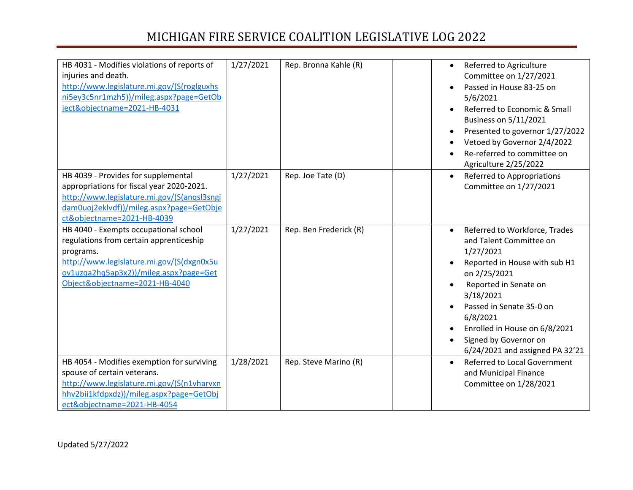| HB 4031 - Modifies violations of reports of<br>injuries and death.<br>http://www.legislature.mi.gov/(S(roglguxhs<br>ni5ey3c5nr1mzh5))/mileg.aspx?page=GetOb<br>ject&objectname=2021-HB-4031                            | 1/27/2021 | Rep. Bronna Kahle (R)  | Referred to Agriculture<br>$\bullet$<br>Committee on 1/27/2021<br>Passed in House 83-25 on<br>5/6/2021<br>Referred to Economic & Small<br>Business on 5/11/2021<br>Presented to governor 1/27/2022<br>Vetoed by Governor 2/4/2022<br>Re-referred to committee on<br>$\bullet$<br>Agriculture 2/25/2022 |
|------------------------------------------------------------------------------------------------------------------------------------------------------------------------------------------------------------------------|-----------|------------------------|--------------------------------------------------------------------------------------------------------------------------------------------------------------------------------------------------------------------------------------------------------------------------------------------------------|
| HB 4039 - Provides for supplemental<br>appropriations for fiscal year 2020-2021.<br>http://www.legislature.mi.gov/(S(angsl3sngi<br>dam0uoj2eklvdf))/mileg.aspx?page=GetObje<br>ct&objectname=2021-HB-4039              | 1/27/2021 | Rep. Joe Tate (D)      | Referred to Appropriations<br>$\bullet$<br>Committee on 1/27/2021                                                                                                                                                                                                                                      |
| HB 4040 - Exempts occupational school<br>regulations from certain apprenticeship<br>programs.<br>http://www.legislature.mi.gov/(S(dxgn0x5u<br>ov1uzqa2hq5ap3x2))/mileg.aspx?page=Get<br>Object&objectname=2021-HB-4040 | 1/27/2021 | Rep. Ben Frederick (R) | Referred to Workforce, Trades<br>and Talent Committee on<br>1/27/2021<br>Reported in House with sub H1<br>on 2/25/2021<br>Reported in Senate on<br>3/18/2021<br>Passed in Senate 35-0 on<br>6/8/2021<br>Enrolled in House on 6/8/2021<br>Signed by Governor on<br>6/24/2021 and assigned PA 32'21      |
| HB 4054 - Modifies exemption for surviving<br>spouse of certain veterans.<br>http://www.legislature.mi.gov/(S(n1vharvxn<br>hhv2bii1kfdpxdz))/mileg.aspx?page=GetObj<br>ect&objectname=2021-HB-4054                     | 1/28/2021 | Rep. Steve Marino (R)  | <b>Referred to Local Government</b><br>$\bullet$<br>and Municipal Finance<br>Committee on 1/28/2021                                                                                                                                                                                                    |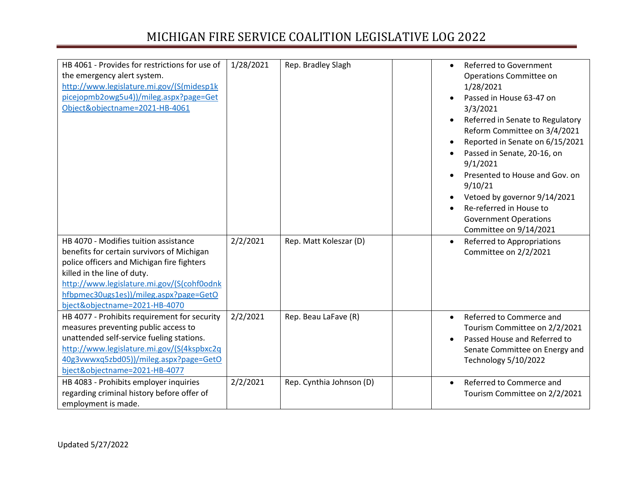| HB 4061 - Provides for restrictions for use of<br>the emergency alert system.<br>http://www.legislature.mi.gov/(S(midesp1k<br>picejopmb2owg5u4))/mileg.aspx?page=Get<br>Object&objectname=2021-HB-4061                                                                                    | 1/28/2021 | Rep. Bradley Slagh       | Referred to Government<br>$\bullet$<br>Operations Committee on<br>1/28/2021<br>Passed in House 63-47 on<br>3/3/2021<br>Referred in Senate to Regulatory<br>Reform Committee on 3/4/2021<br>Reported in Senate on 6/15/2021<br>Passed in Senate, 20-16, on<br>9/1/2021<br>Presented to House and Gov. on<br>9/10/21<br>Vetoed by governor 9/14/2021<br>Re-referred in House to<br><b>Government Operations</b><br>Committee on 9/14/2021 |
|-------------------------------------------------------------------------------------------------------------------------------------------------------------------------------------------------------------------------------------------------------------------------------------------|-----------|--------------------------|-----------------------------------------------------------------------------------------------------------------------------------------------------------------------------------------------------------------------------------------------------------------------------------------------------------------------------------------------------------------------------------------------------------------------------------------|
| HB 4070 - Modifies tuition assistance<br>benefits for certain survivors of Michigan<br>police officers and Michigan fire fighters<br>killed in the line of duty.<br>http://www.legislature.mi.gov/(S(cohf0odnk<br>hfbpmec30ugs1es))/mileg.aspx?page=GetO<br>bject&objectname=2021-HB-4070 | 2/2/2021  | Rep. Matt Koleszar (D)   | Referred to Appropriations<br>$\bullet$<br>Committee on 2/2/2021                                                                                                                                                                                                                                                                                                                                                                        |
| HB 4077 - Prohibits requirement for security<br>measures preventing public access to<br>unattended self-service fueling stations.<br>http://www.legislature.mi.gov/(S(4kspbxc2q<br>40g3vwwxq5zbd05))/mileg.aspx?page=GetO<br>bject&objectname=2021-HB-4077                                | 2/2/2021  | Rep. Beau LaFave (R)     | Referred to Commerce and<br>$\bullet$<br>Tourism Committee on 2/2/2021<br>Passed House and Referred to<br>Senate Committee on Energy and<br>Technology 5/10/2022                                                                                                                                                                                                                                                                        |
| HB 4083 - Prohibits employer inquiries<br>regarding criminal history before offer of<br>employment is made.                                                                                                                                                                               | 2/2/2021  | Rep. Cynthia Johnson (D) | Referred to Commerce and<br>$\bullet$<br>Tourism Committee on 2/2/2021                                                                                                                                                                                                                                                                                                                                                                  |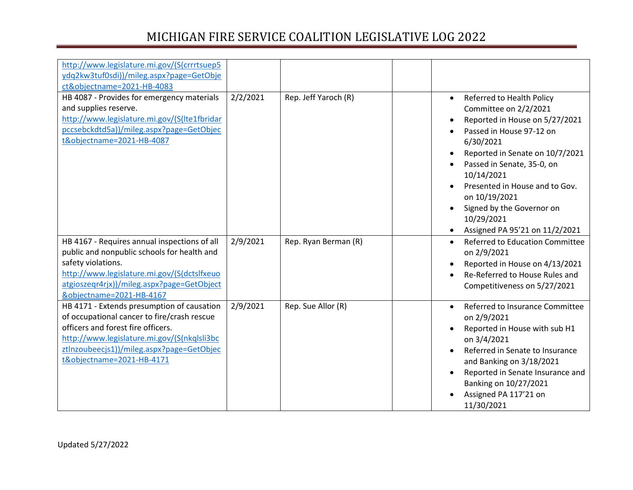| http://www.legislature.mi.gov/(S(crrrtsuep5<br>ydq2kw3tuf0sdi))/mileg.aspx?page=GetObje                                                                                                                                                                  |          |                      |           |                                                                                                                                                                                                                                                                                                                                              |
|----------------------------------------------------------------------------------------------------------------------------------------------------------------------------------------------------------------------------------------------------------|----------|----------------------|-----------|----------------------------------------------------------------------------------------------------------------------------------------------------------------------------------------------------------------------------------------------------------------------------------------------------------------------------------------------|
| ct&objectname=2021-HB-4083<br>HB 4087 - Provides for emergency materials<br>and supplies reserve.<br>http://www.legislature.mi.gov/(S(Ite1fbridar<br>pccsebckdtd5a))/mileg.aspx?page=GetObjec<br>t&objectname=2021-HB-4087                               | 2/2/2021 | Rep. Jeff Yaroch (R) | $\bullet$ | Referred to Health Policy<br>Committee on 2/2/2021<br>Reported in House on 5/27/2021<br>Passed in House 97-12 on<br>6/30/2021<br>Reported in Senate on 10/7/2021<br>Passed in Senate, 35-0, on<br>10/14/2021<br>Presented in House and to Gov.<br>on 10/19/2021<br>Signed by the Governor on<br>10/29/2021<br>Assigned PA 95'21 on 11/2/2021 |
| HB 4167 - Requires annual inspections of all<br>public and nonpublic schools for health and<br>safety violations.<br>http://www.legislature.mi.gov/(S(dctslfxeuo<br>atgioszegr4rjx))/mileg.aspx?page=GetObject<br>&objectname=2021-HB-4167               | 2/9/2021 | Rep. Ryan Berman (R) |           | <b>Referred to Education Committee</b><br>on 2/9/2021<br>Reported in House on 4/13/2021<br>Re-Referred to House Rules and<br>Competitiveness on 5/27/2021                                                                                                                                                                                    |
| HB 4171 - Extends presumption of causation<br>of occupational cancer to fire/crash rescue<br>officers and forest fire officers.<br>http://www.legislature.mi.gov/(S(nkqlsli3bc<br>ztlnzoubeecjs1))/mileg.aspx?page=GetObjec<br>t&objectname=2021-HB-4171 | 2/9/2021 | Rep. Sue Allor (R)   |           | Referred to Insurance Committee<br>on 2/9/2021<br>Reported in House with sub H1<br>on 3/4/2021<br>Referred in Senate to Insurance<br>and Banking on 3/18/2021<br>Reported in Senate Insurance and<br>Banking on 10/27/2021<br>Assigned PA 117'21 on<br>11/30/2021                                                                            |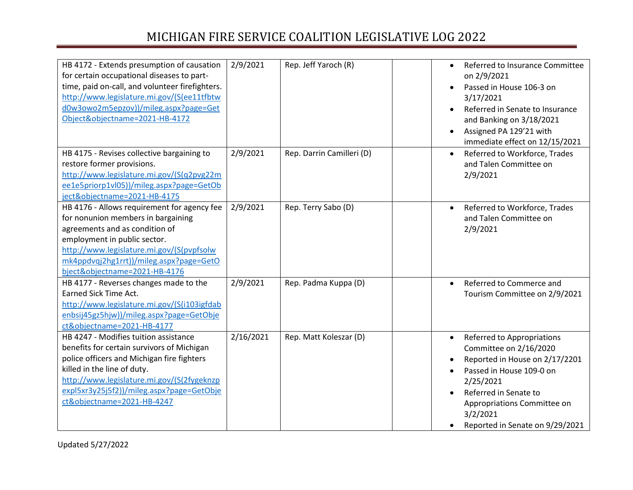| HB 4172 - Extends presumption of causation<br>for certain occupational diseases to part-<br>time, paid on-call, and volunteer firefighters.<br>http://www.legislature.mi.gov/(S(ee11tfbtw<br>d0w3owo2m5epzov))/mileg.aspx?page=Get<br>Object&objectname=2021-HB-4172                      | 2/9/2021  | Rep. Jeff Yaroch (R)      | $\bullet$              | Referred to Insurance Committee<br>on 2/9/2021<br>Passed in House 106-3 on<br>3/17/2021<br>Referred in Senate to Insurance<br>and Banking on 3/18/2021<br>Assigned PA 129'21 with<br>immediate effect on 12/15/2021                    |
|-------------------------------------------------------------------------------------------------------------------------------------------------------------------------------------------------------------------------------------------------------------------------------------------|-----------|---------------------------|------------------------|----------------------------------------------------------------------------------------------------------------------------------------------------------------------------------------------------------------------------------------|
| HB 4175 - Revises collective bargaining to<br>restore former provisions.<br>http://www.legislature.mi.gov/(S(q2pvg22m<br>ee1e5priorp1vl05))/mileg.aspx?page=GetOb<br>ject&objectname=2021-HB-4175                                                                                         | 2/9/2021  | Rep. Darrin Camilleri (D) |                        | Referred to Workforce, Trades<br>and Talen Committee on<br>2/9/2021                                                                                                                                                                    |
| HB 4176 - Allows requirement for agency fee<br>for nonunion members in bargaining<br>agreements and as condition of<br>employment in public sector.<br>http://www.legislature.mi.gov/(S(pvpfsolw<br>mk4ppdvqj2hg1rrt))/mileg.aspx?page=GetO<br>bject&objectname=2021-HB-4176              | 2/9/2021  | Rep. Terry Sabo (D)       | $\bullet$              | Referred to Workforce, Trades<br>and Talen Committee on<br>2/9/2021                                                                                                                                                                    |
| HB 4177 - Reverses changes made to the<br>Earned Sick Time Act.<br>http://www.legislature.mi.gov/(S(i103igfdab<br>enbsij45gz5hjw))/mileg.aspx?page=GetObje<br>ct&objectname=2021-HB-4177                                                                                                  | 2/9/2021  | Rep. Padma Kuppa (D)      | $\bullet$              | Referred to Commerce and<br>Tourism Committee on 2/9/2021                                                                                                                                                                              |
| HB 4247 - Modifies tuition assistance<br>benefits for certain survivors of Michigan<br>police officers and Michigan fire fighters<br>killed in the line of duty.<br>http://www.legislature.mi.gov/(S(2fygeknzp<br>expl5xr3y25j5f2))/mileg.aspx?page=GetObje<br>ct&objectname=2021-HB-4247 | 2/16/2021 | Rep. Matt Koleszar (D)    | $\bullet$<br>$\bullet$ | Referred to Appropriations<br>Committee on 2/16/2020<br>Reported in House on 2/17/2201<br>Passed in House 109-0 on<br>2/25/2021<br>Referred in Senate to<br>Appropriations Committee on<br>3/2/2021<br>Reported in Senate on 9/29/2021 |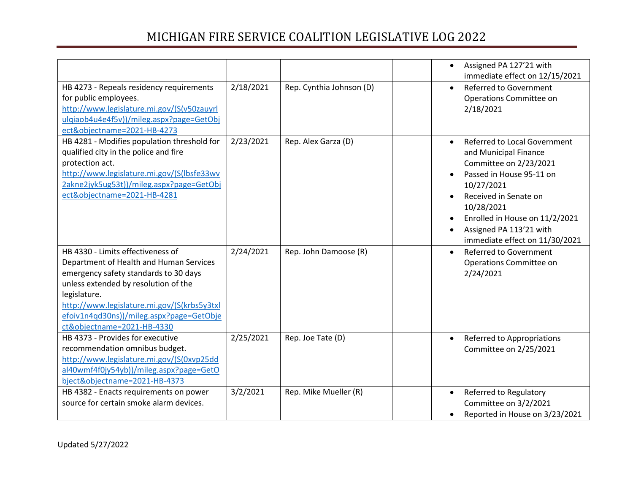|                                                                                                                                                                                                                                                                                                        |           |                          | Assigned PA 127'21 with<br>$\bullet$<br>immediate effect on 12/15/2021                                                                                                                                                                                                              |  |
|--------------------------------------------------------------------------------------------------------------------------------------------------------------------------------------------------------------------------------------------------------------------------------------------------------|-----------|--------------------------|-------------------------------------------------------------------------------------------------------------------------------------------------------------------------------------------------------------------------------------------------------------------------------------|--|
| HB 4273 - Repeals residency requirements<br>for public employees.<br>http://www.legislature.mi.gov/(S(v50zauyrl<br>ulgiaob4u4e4f5v))/mileg.aspx?page=GetObj<br>ect&objectname=2021-HB-4273                                                                                                             | 2/18/2021 | Rep. Cynthia Johnson (D) | Referred to Government<br>$\bullet$<br>Operations Committee on<br>2/18/2021                                                                                                                                                                                                         |  |
| HB 4281 - Modifies population threshold for<br>qualified city in the police and fire<br>protection act.<br>http://www.legislature.mi.gov/(S(lbsfe33wv<br>2akne2jyk5ug53t))/mileg.aspx?page=GetObj<br>ect&objectname=2021-HB-4281                                                                       | 2/23/2021 | Rep. Alex Garza (D)      | <b>Referred to Local Government</b><br>$\bullet$<br>and Municipal Finance<br>Committee on 2/23/2021<br>Passed in House 95-11 on<br>10/27/2021<br>Received in Senate on<br>10/28/2021<br>Enrolled in House on 11/2/2021<br>Assigned PA 113'21 with<br>immediate effect on 11/30/2021 |  |
| HB 4330 - Limits effectiveness of<br>Department of Health and Human Services<br>emergency safety standards to 30 days<br>unless extended by resolution of the<br>legislature.<br>http://www.legislature.mi.gov/(S(krbs5y3txl<br>efoiv1n4qd30ns))/mileg.aspx?page=GetObje<br>ct&objectname=2021-HB-4330 | 2/24/2021 | Rep. John Damoose (R)    | <b>Referred to Government</b><br>$\bullet$<br>Operations Committee on<br>2/24/2021                                                                                                                                                                                                  |  |
| HB 4373 - Provides for executive<br>recommendation omnibus budget.<br>http://www.legislature.mi.gov/(S(0xvp25dd<br>al40wmf4f0jy54yb))/mileg.aspx?page=GetO<br>bject&objectname=2021-HB-4373                                                                                                            | 2/25/2021 | Rep. Joe Tate (D)        | Referred to Appropriations<br>$\bullet$<br>Committee on 2/25/2021                                                                                                                                                                                                                   |  |
| HB 4382 - Enacts requirements on power<br>source for certain smoke alarm devices.                                                                                                                                                                                                                      | 3/2/2021  | Rep. Mike Mueller (R)    | Referred to Regulatory<br>$\bullet$<br>Committee on 3/2/2021<br>Reported in House on 3/23/2021<br>$\bullet$                                                                                                                                                                         |  |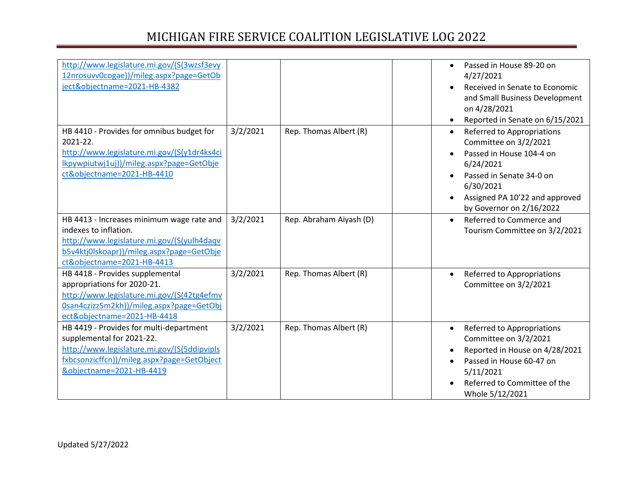| http://www.legislature.mi.gov/(S(3wzsf3evy<br>12nrosuvv0cogae))/mileg.aspx?page=GetOb<br>ject&objectname=2021-HB-4382                                                                         |          |                         | $\bullet$ | Passed in House 89-20 on<br>4/27/2021<br>Received in Senate to Economic<br>and Small Business Development                                                                                                                              |
|-----------------------------------------------------------------------------------------------------------------------------------------------------------------------------------------------|----------|-------------------------|-----------|----------------------------------------------------------------------------------------------------------------------------------------------------------------------------------------------------------------------------------------|
|                                                                                                                                                                                               |          |                         |           | on 4/28/2021                                                                                                                                                                                                                           |
| HB 4410 - Provides for omnibus budget for<br>2021-22.<br>http://www.legislature.mi.gov/(S(y1dr4ks4ci<br>lkpywpiutwj1uj))/mileg.aspx?page=GetObje<br>ct&objectname=2021-HB-4410                | 3/2/2021 | Rep. Thomas Albert (R)  | $\bullet$ | Reported in Senate on 6/15/2021<br>Referred to Appropriations<br>Committee on 3/2/2021<br>Passed in House 104-4 on<br>6/24/2021<br>Passed in Senate 34-0 on<br>6/30/2021<br>Assigned PA 10'22 and approved<br>by Governor on 2/16/2022 |
| HB 4413 - Increases minimum wage rate and<br>indexes to inflation.<br>http://www.legislature.mi.gov/(S(yulh4daqv<br>b5v4ktj0lskoapr))/mileg.aspx?page=GetObje<br>ct&objectname=2021-HB-4413   | 3/2/2021 | Rep. Abraham Aiyash (D) | $\bullet$ | Referred to Commerce and<br>Tourism Committee on 3/2/2021                                                                                                                                                                              |
| HB 4418 - Provides supplemental<br>appropriations for 2020-21.<br>http://www.legislature.mi.gov/(S(42tg4efmv<br>0san4czizz5m2kh))/mileg.aspx?page=GetObj<br>ect&objectname=2021-HB-4418       | 3/2/2021 | Rep. Thomas Albert (R)  | $\bullet$ | Referred to Appropriations<br>Committee on 3/2/2021                                                                                                                                                                                    |
| HB 4419 - Provides for multi-department<br>supplemental for 2021-22.<br>http://www.legislature.mi.gov/(S(5ddipvipls<br>fxbcsonzicffcn))/mileg.aspx?page=GetObject<br>&objectname=2021-HB-4419 | 3/2/2021 | Rep. Thomas Albert (R)  | $\bullet$ | Referred to Appropriations<br>Committee on 3/2/2021<br>Reported in House on 4/28/2021<br>Passed in House 60-47 on<br>5/11/2021<br>Referred to Committee of the<br>Whole 5/12/2021                                                      |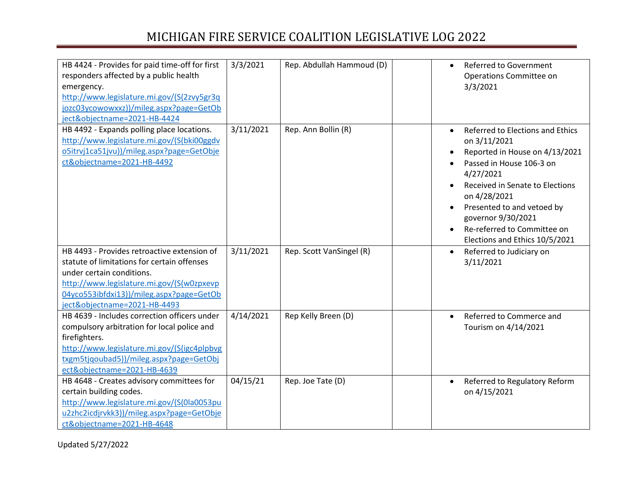| HB 4424 - Provides for paid time-off for first<br>responders affected by a public health<br>emergency.<br>http://www.legislature.mi.gov/(S(2zvy5gr3q<br>jozc03ycowowxxz))/mileg.aspx?page=GetOb<br>ject&objectname=2021-HB-4424                  | 3/3/2021  | Rep. Abdullah Hammoud (D) | Referred to Government<br>Operations Committee on<br>3/3/2021                                                                                                                                                                                                                                       |
|--------------------------------------------------------------------------------------------------------------------------------------------------------------------------------------------------------------------------------------------------|-----------|---------------------------|-----------------------------------------------------------------------------------------------------------------------------------------------------------------------------------------------------------------------------------------------------------------------------------------------------|
| HB 4492 - Expands polling place locations.<br>http://www.legislature.mi.gov/(S(bki00ggdv<br>o5itrvj1ca51jvu))/mileg.aspx?page=GetObje<br>ct&objectname=2021-HB-4492                                                                              | 3/11/2021 | Rep. Ann Bollin (R)       | Referred to Elections and Ethics<br>on 3/11/2021<br>Reported in House on 4/13/2021<br>Passed in House 106-3 on<br>4/27/2021<br>Received in Senate to Elections<br>on 4/28/2021<br>Presented to and vetoed by<br>governor 9/30/2021<br>Re-referred to Committee on<br>Elections and Ethics 10/5/2021 |
| HB 4493 - Provides retroactive extension of<br>statute of limitations for certain offenses<br>under certain conditions.<br>http://www.legislature.mi.gov/(S(w0zpxevp<br>04yco553ibfdxi13))/mileg.aspx?page=GetOb<br>ject&objectname=2021-HB-4493 | 3/11/2021 | Rep. Scott VanSingel (R)  | Referred to Judiciary on<br>3/11/2021                                                                                                                                                                                                                                                               |
| HB 4639 - Includes correction officers under<br>compulsory arbitration for local police and<br>firefighters.<br>http://www.legislature.mi.gov/(S(igc4plpbvg<br>txgm5tjqoubad5))/mileg.aspx?page=GetObj<br>ect&objectname=2021-HB-4639            | 4/14/2021 | Rep Kelly Breen (D)       | Referred to Commerce and<br>$\bullet$<br>Tourism on 4/14/2021                                                                                                                                                                                                                                       |
| HB 4648 - Creates advisory committees for<br>certain building codes.<br>http://www.legislature.mi.gov/(S(0la0053pu<br>u2zhc2icdjrvkk3))/mileg.aspx?page=GetObje<br>ct&objectname=2021-HB-4648                                                    | 04/15/21  | Rep. Joe Tate (D)         | Referred to Regulatory Reform<br>on 4/15/2021                                                                                                                                                                                                                                                       |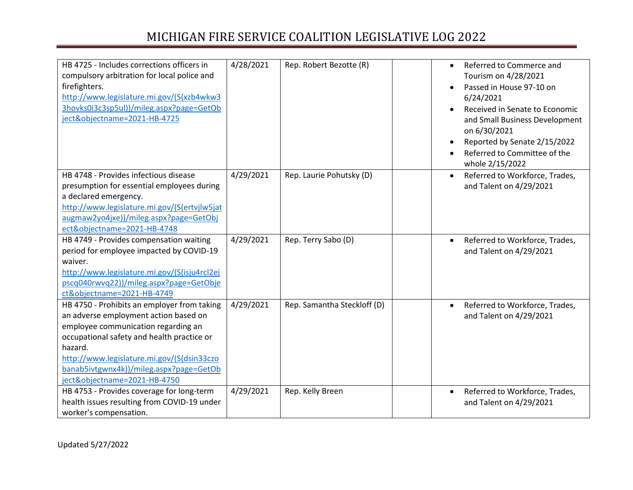| HB 4725 - Includes corrections officers in<br>compulsory arbitration for local police and<br>firefighters.<br>http://www.legislature.mi.gov/(S(xzb4wkw3<br>3hovks0i3c3sp5ul))/mileg.aspx?page=GetOb<br>ject&objectname=2021-HB-4725 | 4/28/2021 | Rep. Robert Bezotte (R)     | Referred to Commerce and<br>$\bullet$<br>Tourism on 4/28/2021<br>Passed in House 97-10 on<br>$\bullet$<br>6/24/2021<br>Received in Senate to Economic<br>and Small Business Development<br>on 6/30/2021<br>Reported by Senate 2/15/2022<br>Referred to Committee of the<br>whole 2/15/2022 |
|-------------------------------------------------------------------------------------------------------------------------------------------------------------------------------------------------------------------------------------|-----------|-----------------------------|--------------------------------------------------------------------------------------------------------------------------------------------------------------------------------------------------------------------------------------------------------------------------------------------|
| HB 4748 - Provides infectious disease                                                                                                                                                                                               | 4/29/2021 | Rep. Laurie Pohutsky (D)    | Referred to Workforce, Trades,                                                                                                                                                                                                                                                             |
| presumption for essential employees during                                                                                                                                                                                          |           |                             | and Talent on 4/29/2021                                                                                                                                                                                                                                                                    |
| a declared emergency.                                                                                                                                                                                                               |           |                             |                                                                                                                                                                                                                                                                                            |
| http://www.legislature.mi.gov/(S(ertvjlw5jat                                                                                                                                                                                        |           |                             |                                                                                                                                                                                                                                                                                            |
| augmaw2yo4jxe))/mileg.aspx?page=GetObj                                                                                                                                                                                              |           |                             |                                                                                                                                                                                                                                                                                            |
| ect&objectname=2021-HB-4748                                                                                                                                                                                                         |           |                             |                                                                                                                                                                                                                                                                                            |
| HB 4749 - Provides compensation waiting                                                                                                                                                                                             | 4/29/2021 | Rep. Terry Sabo (D)         | Referred to Workforce, Trades,<br>$\bullet$                                                                                                                                                                                                                                                |
| period for employee impacted by COVID-19                                                                                                                                                                                            |           |                             | and Talent on 4/29/2021                                                                                                                                                                                                                                                                    |
| waiver.                                                                                                                                                                                                                             |           |                             |                                                                                                                                                                                                                                                                                            |
| http://www.legislature.mi.gov/(S(isju4rcl2ej                                                                                                                                                                                        |           |                             |                                                                                                                                                                                                                                                                                            |
| pscq040rwvq22))/mileg.aspx?page=GetObje                                                                                                                                                                                             |           |                             |                                                                                                                                                                                                                                                                                            |
| ct&objectname=2021-HB-4749                                                                                                                                                                                                          |           |                             |                                                                                                                                                                                                                                                                                            |
| HB 4750 - Prohibits an employer from taking                                                                                                                                                                                         | 4/29/2021 | Rep. Samantha Steckloff (D) | Referred to Workforce, Trades,<br>$\bullet$                                                                                                                                                                                                                                                |
| an adverse employment action based on                                                                                                                                                                                               |           |                             | and Talent on 4/29/2021                                                                                                                                                                                                                                                                    |
| employee communication regarding an                                                                                                                                                                                                 |           |                             |                                                                                                                                                                                                                                                                                            |
| occupational safety and health practice or                                                                                                                                                                                          |           |                             |                                                                                                                                                                                                                                                                                            |
| hazard.                                                                                                                                                                                                                             |           |                             |                                                                                                                                                                                                                                                                                            |
| http://www.legislature.mi.gov/(S(dsin33czo                                                                                                                                                                                          |           |                             |                                                                                                                                                                                                                                                                                            |
| banab5ivtgwnx4k))/mileg.aspx?page=GetOb                                                                                                                                                                                             |           |                             |                                                                                                                                                                                                                                                                                            |
| ject&objectname=2021-HB-4750                                                                                                                                                                                                        |           |                             |                                                                                                                                                                                                                                                                                            |
| HB 4753 - Provides coverage for long-term                                                                                                                                                                                           | 4/29/2021 | Rep. Kelly Breen            | Referred to Workforce, Trades,<br>$\bullet$                                                                                                                                                                                                                                                |
| health issues resulting from COVID-19 under                                                                                                                                                                                         |           |                             | and Talent on 4/29/2021                                                                                                                                                                                                                                                                    |
| worker's compensation.                                                                                                                                                                                                              |           |                             |                                                                                                                                                                                                                                                                                            |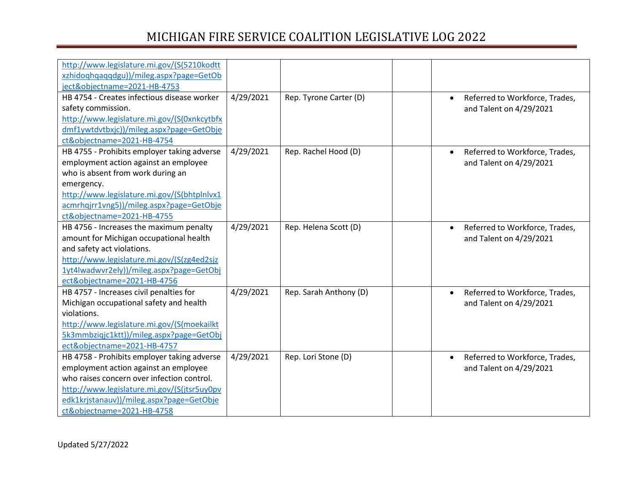| http://www.legislature.mi.gov/(S(5210kodtt  |           |                        |                                             |
|---------------------------------------------|-----------|------------------------|---------------------------------------------|
| xzhidoqhqaqqdgu))/mileg.aspx?page=GetOb     |           |                        |                                             |
| ject&objectname=2021-HB-4753                |           |                        |                                             |
| HB 4754 - Creates infectious disease worker | 4/29/2021 | Rep. Tyrone Carter (D) | Referred to Workforce, Trades,<br>$\bullet$ |
| safety commission.                          |           |                        | and Talent on 4/29/2021                     |
| http://www.legislature.mi.gov/(S(0xnkcytbfx |           |                        |                                             |
| dmf1ywtdvtbxjc))/mileg.aspx?page=GetObje    |           |                        |                                             |
| ct&objectname=2021-HB-4754                  |           |                        |                                             |
| HB 4755 - Prohibits employer taking adverse | 4/29/2021 | Rep. Rachel Hood (D)   | Referred to Workforce, Trades,<br>$\bullet$ |
| employment action against an employee       |           |                        | and Talent on 4/29/2021                     |
| who is absent from work during an           |           |                        |                                             |
| emergency.                                  |           |                        |                                             |
| http://www.legislature.mi.gov/(S(bhtplnlvx1 |           |                        |                                             |
| acmrhqjrr1vng5))/mileg.aspx?page=GetObje    |           |                        |                                             |
| ct&objectname=2021-HB-4755                  |           |                        |                                             |
| HB 4756 - Increases the maximum penalty     | 4/29/2021 | Rep. Helena Scott (D)  | Referred to Workforce, Trades,<br>$\bullet$ |
| amount for Michigan occupational health     |           |                        | and Talent on 4/29/2021                     |
| and safety act violations.                  |           |                        |                                             |
| http://www.legislature.mi.gov/(S(zg4ed2sjz  |           |                        |                                             |
| 1yt4lwadwvr2ely))/mileg.aspx?page=GetObj    |           |                        |                                             |
| ect&objectname=2021-HB-4756                 |           |                        |                                             |
| HB 4757 - Increases civil penalties for     | 4/29/2021 | Rep. Sarah Anthony (D) | Referred to Workforce, Trades,<br>$\bullet$ |
| Michigan occupational safety and health     |           |                        | and Talent on 4/29/2021                     |
| violations.                                 |           |                        |                                             |
| http://www.legislature.mi.gov/(S(moekailkt  |           |                        |                                             |
| 5k3mmbziqjc1ktt))/mileg.aspx?page=GetObj    |           |                        |                                             |
| ect&objectname=2021-HB-4757                 |           |                        |                                             |
| HB 4758 - Prohibits employer taking adverse | 4/29/2021 | Rep. Lori Stone (D)    | Referred to Workforce, Trades,<br>$\bullet$ |
| employment action against an employee       |           |                        | and Talent on 4/29/2021                     |
| who raises concern over infection control.  |           |                        |                                             |
| http://www.legislature.mi.gov/(S(jtsr5uy0pv |           |                        |                                             |
| edk1krjstanauv))/mileg.aspx?page=GetObje    |           |                        |                                             |
| ct&objectname=2021-HB-4758                  |           |                        |                                             |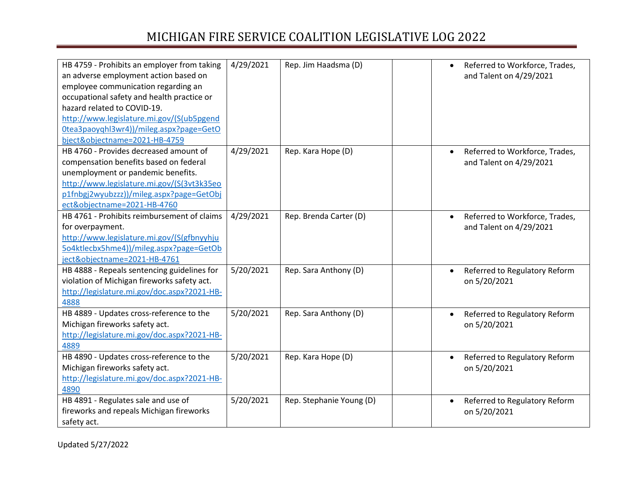| 4/29/2021<br>HB 4759 - Prohibits an employer from taking<br>Rep. Jim Haadsma (D)<br>Referred to Workforce, Trades,<br>$\bullet$<br>an adverse employment action based on<br>and Talent on 4/29/2021<br>employee communication regarding an<br>occupational safety and health practice or<br>hazard related to COVID-19. |  |
|-------------------------------------------------------------------------------------------------------------------------------------------------------------------------------------------------------------------------------------------------------------------------------------------------------------------------|--|
|                                                                                                                                                                                                                                                                                                                         |  |
|                                                                                                                                                                                                                                                                                                                         |  |
|                                                                                                                                                                                                                                                                                                                         |  |
|                                                                                                                                                                                                                                                                                                                         |  |
|                                                                                                                                                                                                                                                                                                                         |  |
| http://www.legislature.mi.gov/(S(ub5pgend                                                                                                                                                                                                                                                                               |  |
| Otea3paoyqhl3wr4))/mileg.aspx?page=GetO                                                                                                                                                                                                                                                                                 |  |
| bject&objectname=2021-HB-4759                                                                                                                                                                                                                                                                                           |  |
| HB 4760 - Provides decreased amount of<br>4/29/2021<br>Rep. Kara Hope (D)<br>Referred to Workforce, Trades,<br>$\bullet$                                                                                                                                                                                                |  |
| compensation benefits based on federal<br>and Talent on 4/29/2021                                                                                                                                                                                                                                                       |  |
| unemployment or pandemic benefits.                                                                                                                                                                                                                                                                                      |  |
| http://www.legislature.mi.gov/(S(3vt3k35eo                                                                                                                                                                                                                                                                              |  |
| p1fnbgj2wyubzzz))/mileg.aspx?page=GetObj                                                                                                                                                                                                                                                                                |  |
| ect&objectname=2021-HB-4760                                                                                                                                                                                                                                                                                             |  |
| 4/29/2021<br>HB 4761 - Prohibits reimbursement of claims<br>Rep. Brenda Carter (D)<br>Referred to Workforce, Trades,<br>$\bullet$                                                                                                                                                                                       |  |
| and Talent on 4/29/2021<br>for overpayment.                                                                                                                                                                                                                                                                             |  |
| http://www.legislature.mi.gov/(S(gfbnyyhju                                                                                                                                                                                                                                                                              |  |
| 5o4ktlecbx5hme4))/mileg.aspx?page=GetOb                                                                                                                                                                                                                                                                                 |  |
| ject&objectname=2021-HB-4761                                                                                                                                                                                                                                                                                            |  |
| HB 4888 - Repeals sentencing guidelines for<br>5/20/2021<br>Rep. Sara Anthony (D)<br>Referred to Regulatory Reform<br>$\bullet$                                                                                                                                                                                         |  |
| violation of Michigan fireworks safety act.<br>on 5/20/2021                                                                                                                                                                                                                                                             |  |
| http://legislature.mi.gov/doc.aspx?2021-HB-                                                                                                                                                                                                                                                                             |  |
| 4888                                                                                                                                                                                                                                                                                                                    |  |
| HB 4889 - Updates cross-reference to the<br>5/20/2021<br>Rep. Sara Anthony (D)<br>Referred to Regulatory Reform                                                                                                                                                                                                         |  |
| Michigan fireworks safety act.<br>on 5/20/2021                                                                                                                                                                                                                                                                          |  |
| http://legislature.mi.gov/doc.aspx?2021-HB-                                                                                                                                                                                                                                                                             |  |
| 4889                                                                                                                                                                                                                                                                                                                    |  |
| HB 4890 - Updates cross-reference to the<br>5/20/2021<br>Rep. Kara Hope (D)<br>Referred to Regulatory Reform<br>$\bullet$                                                                                                                                                                                               |  |
| Michigan fireworks safety act.<br>on 5/20/2021                                                                                                                                                                                                                                                                          |  |
| http://legislature.mi.gov/doc.aspx?2021-HB-                                                                                                                                                                                                                                                                             |  |
|                                                                                                                                                                                                                                                                                                                         |  |
| 4890                                                                                                                                                                                                                                                                                                                    |  |
| HB 4891 - Regulates sale and use of<br>5/20/2021<br>Rep. Stephanie Young (D)<br>Referred to Regulatory Reform<br>$\bullet$                                                                                                                                                                                              |  |
| fireworks and repeals Michigan fireworks<br>on 5/20/2021                                                                                                                                                                                                                                                                |  |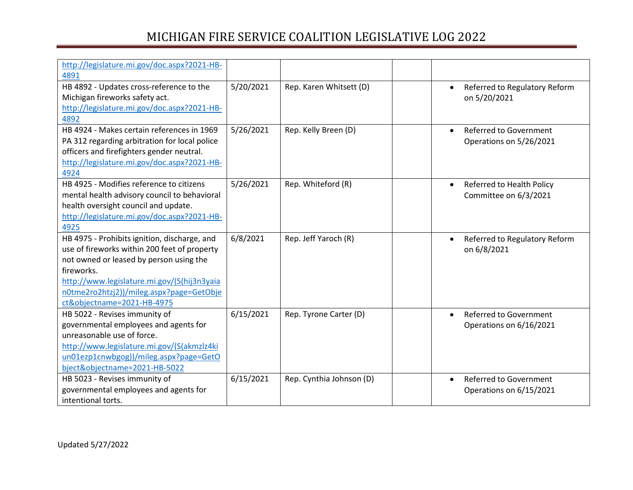| http://legislature.mi.gov/doc.aspx?2021-HB-   |           |                          |                                            |
|-----------------------------------------------|-----------|--------------------------|--------------------------------------------|
| 4891                                          |           |                          |                                            |
| HB 4892 - Updates cross-reference to the      | 5/20/2021 | Rep. Karen Whitsett (D)  | Referred to Regulatory Reform<br>$\bullet$ |
| Michigan fireworks safety act.                |           |                          | on 5/20/2021                               |
| http://legislature.mi.gov/doc.aspx?2021-HB-   |           |                          |                                            |
| 4892                                          |           |                          |                                            |
| HB 4924 - Makes certain references in 1969    | 5/26/2021 | Rep. Kelly Breen (D)     | <b>Referred to Government</b><br>$\bullet$ |
| PA 312 regarding arbitration for local police |           |                          | Operations on 5/26/2021                    |
| officers and firefighters gender neutral.     |           |                          |                                            |
| http://legislature.mi.gov/doc.aspx?2021-HB-   |           |                          |                                            |
| 4924                                          |           |                          |                                            |
| HB 4925 - Modifies reference to citizens      | 5/26/2021 | Rep. Whiteford (R)       | Referred to Health Policy<br>$\bullet$     |
| mental health advisory council to behavioral  |           |                          | Committee on 6/3/2021                      |
| health oversight council and update.          |           |                          |                                            |
| http://legislature.mi.gov/doc.aspx?2021-HB-   |           |                          |                                            |
| 4925                                          |           |                          |                                            |
| HB 4975 - Prohibits ignition, discharge, and  | 6/8/2021  | Rep. Jeff Yaroch (R)     | Referred to Regulatory Reform<br>$\bullet$ |
| use of fireworks within 200 feet of property  |           |                          | on 6/8/2021                                |
| not owned or leased by person using the       |           |                          |                                            |
| fireworks.                                    |           |                          |                                            |
| http://www.legislature.mi.gov/(S(hij3n3yaia   |           |                          |                                            |
| n0tme2ro2htzj2))/mileg.aspx?page=GetObje      |           |                          |                                            |
| ct&objectname=2021-HB-4975                    |           |                          |                                            |
| HB 5022 - Revises immunity of                 | 6/15/2021 | Rep. Tyrone Carter (D)   | <b>Referred to Government</b><br>$\bullet$ |
| governmental employees and agents for         |           |                          | Operations on 6/16/2021                    |
| unreasonable use of force.                    |           |                          |                                            |
| http://www.legislature.mi.gov/(S(akmzlz4ki    |           |                          |                                            |
| un01ezp1cnwbgog))/mileg.aspx?page=GetO        |           |                          |                                            |
| bject&objectname=2021-HB-5022                 |           |                          |                                            |
| HB 5023 - Revises immunity of                 | 6/15/2021 | Rep. Cynthia Johnson (D) | <b>Referred to Government</b><br>$\bullet$ |
| governmental employees and agents for         |           |                          | Operations on 6/15/2021                    |
| intentional torts.                            |           |                          |                                            |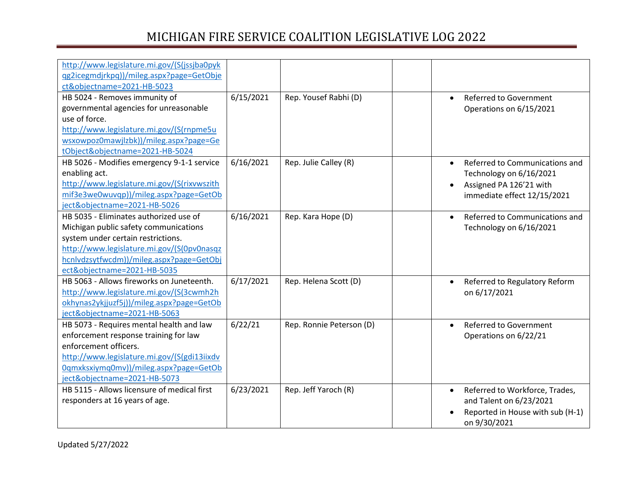| http://www.legislature.mi.gov/(S(jssjba0pyk |           |                          |                                             |  |
|---------------------------------------------|-----------|--------------------------|---------------------------------------------|--|
| qg2icegmdjrkpq))/mileg.aspx?page=GetObje    |           |                          |                                             |  |
| ct&objectname=2021-HB-5023                  |           |                          |                                             |  |
| HB 5024 - Removes immunity of               | 6/15/2021 | Rep. Yousef Rabhi (D)    | <b>Referred to Government</b><br>$\bullet$  |  |
| governmental agencies for unreasonable      |           |                          | Operations on 6/15/2021                     |  |
| use of force.                               |           |                          |                                             |  |
| http://www.legislature.mi.gov/(S(rnpme5u    |           |                          |                                             |  |
| wsxowpoz0mawjlzbk))/mileg.aspx?page=Ge      |           |                          |                                             |  |
| tObject&objectname=2021-HB-5024             |           |                          |                                             |  |
| HB 5026 - Modifies emergency 9-1-1 service  | 6/16/2021 | Rep. Julie Calley (R)    | Referred to Communications and<br>$\bullet$ |  |
| enabling act.                               |           |                          | Technology on 6/16/2021                     |  |
| http://www.legislature.mi.gov/(S(rixvwszith |           |                          | Assigned PA 126'21 with                     |  |
| mif3e3we0wuvqp))/mileg.aspx?page=GetOb      |           |                          | immediate effect 12/15/2021                 |  |
| ject&objectname=2021-HB-5026                |           |                          |                                             |  |
| HB 5035 - Eliminates authorized use of      | 6/16/2021 | Rep. Kara Hope (D)       | Referred to Communications and<br>$\bullet$ |  |
| Michigan public safety communications       |           |                          | Technology on 6/16/2021                     |  |
| system under certain restrictions.          |           |                          |                                             |  |
| http://www.legislature.mi.gov/(S(0pv0nasqz  |           |                          |                                             |  |
| hcnlvdzsytfwcdm))/mileg.aspx?page=GetObj    |           |                          |                                             |  |
| ect&objectname=2021-HB-5035                 |           |                          |                                             |  |
| HB 5063 - Allows fireworks on Juneteenth.   | 6/17/2021 | Rep. Helena Scott (D)    | Referred to Regulatory Reform<br>$\bullet$  |  |
| http://www.legislature.mi.gov/(S(3cwmh2h    |           |                          | on 6/17/2021                                |  |
| okhynas2ykjjuzf5j))/mileg.aspx?page=GetOb   |           |                          |                                             |  |
| ject&objectname=2021-HB-5063                |           |                          |                                             |  |
| HB 5073 - Requires mental health and law    | 6/22/21   | Rep. Ronnie Peterson (D) | <b>Referred to Government</b><br>$\bullet$  |  |
| enforcement response training for law       |           |                          | Operations on 6/22/21                       |  |
| enforcement officers.                       |           |                          |                                             |  |
| http://www.legislature.mi.gov/(S(gdi13iixdv |           |                          |                                             |  |
| 0qmxksxiymq0mv))/mileg.aspx?page=GetOb      |           |                          |                                             |  |
| ject&objectname=2021-HB-5073                |           |                          |                                             |  |
| HB 5115 - Allows licensure of medical first | 6/23/2021 | Rep. Jeff Yaroch (R)     | Referred to Workforce, Trades,              |  |
| responders at 16 years of age.              |           |                          | and Talent on 6/23/2021                     |  |
|                                             |           |                          | Reported in House with sub (H-1)            |  |
|                                             |           |                          | on 9/30/2021                                |  |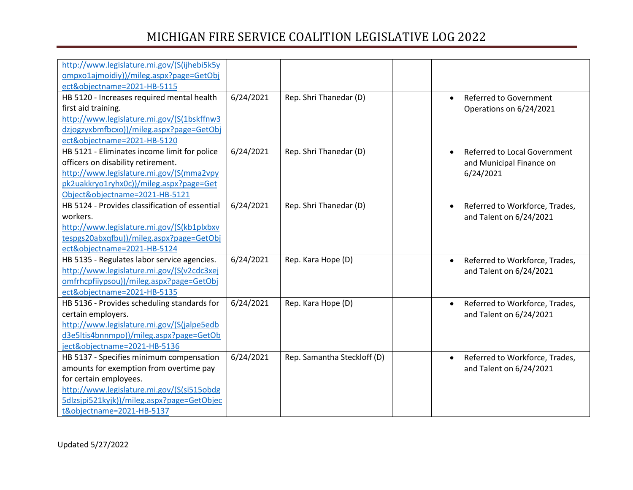| http://www.legislature.mi.gov/(S(ijhebi5k5y    |           |                             |                                             |
|------------------------------------------------|-----------|-----------------------------|---------------------------------------------|
| ompxo1ajmoidiy))/mileg.aspx?page=GetObj        |           |                             |                                             |
| ect&objectname=2021-HB-5115                    |           |                             |                                             |
| HB 5120 - Increases required mental health     | 6/24/2021 | Rep. Shri Thanedar (D)      | <b>Referred to Government</b><br>$\bullet$  |
| first aid training.                            |           |                             | Operations on 6/24/2021                     |
| http://www.legislature.mi.gov/(S(1bskffnw3     |           |                             |                                             |
| dzjogzyxbmfbcxo))/mileg.aspx?page=GetObj       |           |                             |                                             |
| ect&objectname=2021-HB-5120                    |           |                             |                                             |
| HB 5121 - Eliminates income limit for police   | 6/24/2021 | Rep. Shri Thanedar (D)      | <b>Referred to Local Government</b>         |
| officers on disability retirement.             |           |                             | and Municipal Finance on                    |
| http://www.legislature.mi.gov/(S(mma2vpy       |           |                             | 6/24/2021                                   |
| pk2uakkryo1ryhx0c))/mileg.aspx?page=Get        |           |                             |                                             |
| Object&objectname=2021-HB-5121                 |           |                             |                                             |
| HB 5124 - Provides classification of essential | 6/24/2021 | Rep. Shri Thanedar (D)      | Referred to Workforce, Trades,<br>$\bullet$ |
| workers.                                       |           |                             | and Talent on 6/24/2021                     |
| http://www.legislature.mi.gov/(S(kb1plxbxv     |           |                             |                                             |
| tespgs20abxqfbu))/mileg.aspx?page=GetObj       |           |                             |                                             |
| ect&objectname=2021-HB-5124                    |           |                             |                                             |
| HB 5135 - Regulates labor service agencies.    | 6/24/2021 | Rep. Kara Hope (D)          | Referred to Workforce, Trades,<br>$\bullet$ |
| http://www.legislature.mi.gov/(S(v2cdc3xej     |           |                             | and Talent on 6/24/2021                     |
| omfrhcpfiiypsou))/mileg.aspx?page=GetObj       |           |                             |                                             |
| ect&objectname=2021-HB-5135                    |           |                             |                                             |
| HB 5136 - Provides scheduling standards for    | 6/24/2021 | Rep. Kara Hope (D)          | Referred to Workforce, Trades,<br>$\bullet$ |
| certain employers.                             |           |                             | and Talent on 6/24/2021                     |
| http://www.legislature.mi.gov/(S(jalpe5edb     |           |                             |                                             |
| d3e5ltis4bnnmpo))/mileg.aspx?page=GetOb        |           |                             |                                             |
| ject&objectname=2021-HB-5136                   |           |                             |                                             |
| HB 5137 - Specifies minimum compensation       | 6/24/2021 | Rep. Samantha Steckloff (D) | Referred to Workforce, Trades,<br>$\bullet$ |
| amounts for exemption from overtime pay        |           |                             | and Talent on 6/24/2021                     |
| for certain employees.                         |           |                             |                                             |
| http://www.legislature.mi.gov/(S(si515obdg     |           |                             |                                             |
| 5dlzsjpi521kyjk))/mileg.aspx?page=GetObjec     |           |                             |                                             |
| t&objectname=2021-HB-5137                      |           |                             |                                             |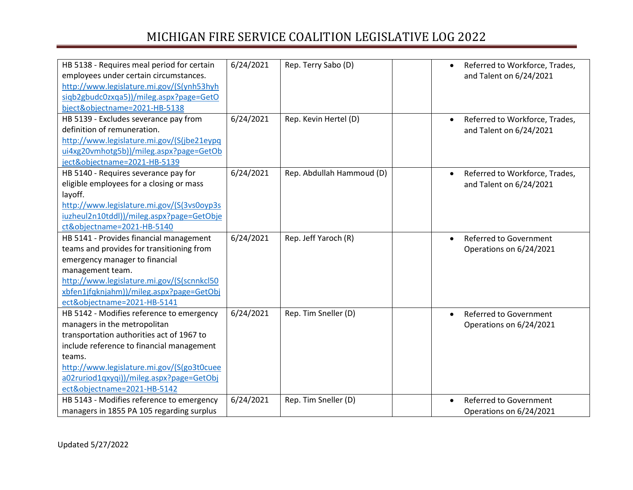| HB 5138 - Requires meal period for certain<br>employees under certain circumstances. | 6/24/2021 | Rep. Terry Sabo (D)       | Referred to Workforce, Trades,<br>and Talent on 6/24/2021 |
|--------------------------------------------------------------------------------------|-----------|---------------------------|-----------------------------------------------------------|
| http://www.legislature.mi.gov/(S(ynh53hyh                                            |           |                           |                                                           |
| siqb2gbudc0zxqa5))/mileg.aspx?page=GetO                                              |           |                           |                                                           |
| bject&objectname=2021-HB-5138                                                        |           |                           |                                                           |
| HB 5139 - Excludes severance pay from                                                | 6/24/2021 | Rep. Kevin Hertel (D)     | Referred to Workforce, Trades,                            |
| definition of remuneration.                                                          |           |                           | and Talent on 6/24/2021                                   |
| http://www.legislature.mi.gov/(S(jbe21eypq                                           |           |                           |                                                           |
| ui4xg20vmhotg5b))/mileg.aspx?page=GetOb                                              |           |                           |                                                           |
| ject&objectname=2021-HB-5139                                                         |           |                           |                                                           |
| HB 5140 - Requires severance pay for                                                 | 6/24/2021 | Rep. Abdullah Hammoud (D) | Referred to Workforce, Trades,<br>$\bullet$               |
| eligible employees for a closing or mass                                             |           |                           | and Talent on 6/24/2021                                   |
| layoff.                                                                              |           |                           |                                                           |
| http://www.legislature.mi.gov/(S(3vs0oyp3s                                           |           |                           |                                                           |
| iuzheul2n10tddl))/mileg.aspx?page=GetObje                                            |           |                           |                                                           |
| ct&objectname=2021-HB-5140                                                           |           |                           |                                                           |
| HB 5141 - Provides financial management                                              | 6/24/2021 | Rep. Jeff Yaroch (R)      | <b>Referred to Government</b><br>$\bullet$                |
| teams and provides for transitioning from                                            |           |                           | Operations on 6/24/2021                                   |
| emergency manager to financial                                                       |           |                           |                                                           |
| management team.                                                                     |           |                           |                                                           |
| http://www.legislature.mi.gov/(S(scnnkcl50                                           |           |                           |                                                           |
| xbfen1jfqknjahm))/mileg.aspx?page=GetObj                                             |           |                           |                                                           |
| ect&objectname=2021-HB-5141                                                          |           |                           |                                                           |
| HB 5142 - Modifies reference to emergency                                            | 6/24/2021 | Rep. Tim Sneller (D)      | <b>Referred to Government</b><br>$\bullet$                |
| managers in the metropolitan                                                         |           |                           | Operations on 6/24/2021                                   |
| transportation authorities act of 1967 to                                            |           |                           |                                                           |
| include reference to financial management                                            |           |                           |                                                           |
| teams.                                                                               |           |                           |                                                           |
| http://www.legislature.mi.gov/(S(go3t0cuee                                           |           |                           |                                                           |
| a02ruriod1qxyqi))/mileg.aspx?page=GetObj                                             |           |                           |                                                           |
| ect&objectname=2021-HB-5142                                                          |           |                           |                                                           |
| HB 5143 - Modifies reference to emergency                                            | 6/24/2021 | Rep. Tim Sneller (D)      | Referred to Government                                    |
| managers in 1855 PA 105 regarding surplus                                            |           |                           | Operations on 6/24/2021                                   |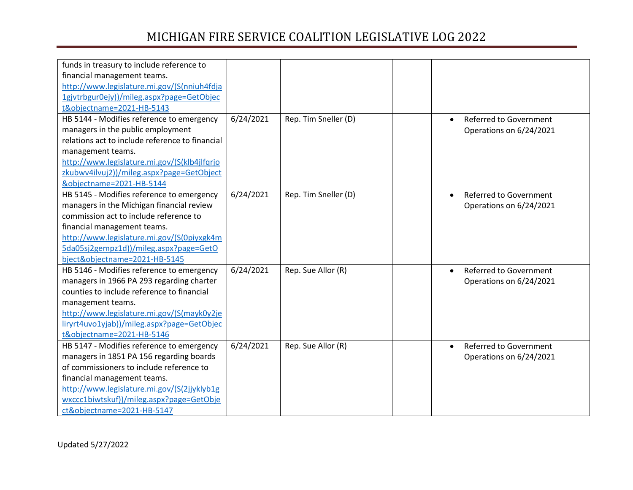| funds in treasury to include reference to       |           |                      |                                            |
|-------------------------------------------------|-----------|----------------------|--------------------------------------------|
| financial management teams.                     |           |                      |                                            |
| http://www.legislature.mi.gov/(S(nniuh4fdja     |           |                      |                                            |
| 1gjvtrbgur0ejy))/mileg.aspx?page=GetObjec       |           |                      |                                            |
| t&objectname=2021-HB-5143                       |           |                      |                                            |
| HB 5144 - Modifies reference to emergency       | 6/24/2021 | Rep. Tim Sneller (D) | <b>Referred to Government</b>              |
| managers in the public employment               |           |                      | Operations on 6/24/2021                    |
| relations act to include reference to financial |           |                      |                                            |
| management teams.                               |           |                      |                                            |
| http://www.legislature.mi.gov/(S(klb4jlfqrjo    |           |                      |                                            |
| zkubwv4ilvuj2))/mileg.aspx?page=GetObject       |           |                      |                                            |
| &objectname=2021-HB-5144                        |           |                      |                                            |
| HB 5145 - Modifies reference to emergency       | 6/24/2021 | Rep. Tim Sneller (D) | <b>Referred to Government</b>              |
| managers in the Michigan financial review       |           |                      | Operations on 6/24/2021                    |
| commission act to include reference to          |           |                      |                                            |
| financial management teams.                     |           |                      |                                            |
| http://www.legislature.mi.gov/(S(0piyxgk4m      |           |                      |                                            |
| 5da05sj2gempz1d))/mileg.aspx?page=GetO          |           |                      |                                            |
| bject&objectname=2021-HB-5145                   |           |                      |                                            |
| HB 5146 - Modifies reference to emergency       | 6/24/2021 | Rep. Sue Allor (R)   | <b>Referred to Government</b><br>$\bullet$ |
| managers in 1966 PA 293 regarding charter       |           |                      | Operations on 6/24/2021                    |
| counties to include reference to financial      |           |                      |                                            |
| management teams.                               |           |                      |                                            |
| http://www.legislature.mi.gov/(S(mayk0y2je      |           |                      |                                            |
| liryrt4uvo1yjab))/mileg.aspx?page=GetObjec      |           |                      |                                            |
| t&objectname=2021-HB-5146                       |           |                      |                                            |
| HB 5147 - Modifies reference to emergency       | 6/24/2021 | Rep. Sue Allor (R)   | <b>Referred to Government</b><br>$\bullet$ |
| managers in 1851 PA 156 regarding boards        |           |                      | Operations on 6/24/2021                    |
| of commissioners to include reference to        |           |                      |                                            |
| financial management teams.                     |           |                      |                                            |
| http://www.legislature.mi.gov/(S(2jjyklyb1g     |           |                      |                                            |
| wxccc1biwtskuf))/mileg.aspx?page=GetObje        |           |                      |                                            |
| ct&objectname=2021-HB-5147                      |           |                      |                                            |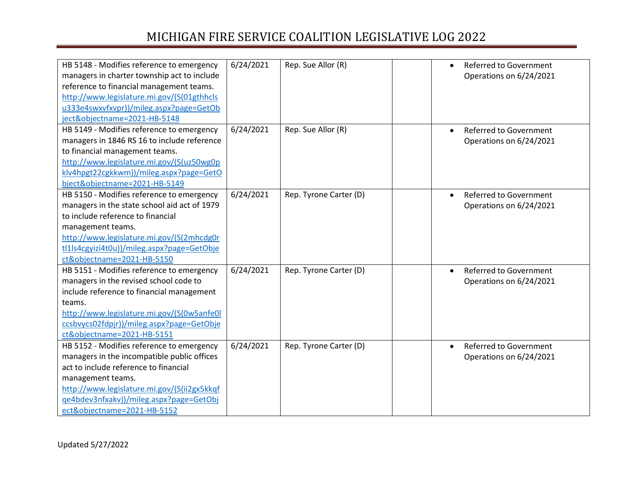| HB 5148 - Modifies reference to emergency    | 6/24/2021 | Rep. Sue Allor (R)     | <b>Referred to Government</b><br>$\bullet$ |
|----------------------------------------------|-----------|------------------------|--------------------------------------------|
| managers in charter township act to include  |           |                        | Operations on 6/24/2021                    |
| reference to financial management teams.     |           |                        |                                            |
| http://www.legislature.mi.gov/(S(01gthhcls   |           |                        |                                            |
| u333e4swxvfxvpr))/mileg.aspx?page=GetOb      |           |                        |                                            |
| ject&objectname=2021-HB-5148                 |           |                        |                                            |
| HB 5149 - Modifies reference to emergency    | 6/24/2021 | Rep. Sue Allor (R)     | Referred to Government                     |
| managers in 1846 RS 16 to include reference  |           |                        | Operations on 6/24/2021                    |
| to financial management teams.               |           |                        |                                            |
| http://www.legislature.mi.gov/(S(uz50wg0p    |           |                        |                                            |
| klv4hpgt22cgkkwm))/mileg.aspx?page=GetO      |           |                        |                                            |
| bject&objectname=2021-HB-5149                |           |                        |                                            |
| HB 5150 - Modifies reference to emergency    | 6/24/2021 | Rep. Tyrone Carter (D) | <b>Referred to Government</b>              |
| managers in the state school aid act of 1979 |           |                        | Operations on 6/24/2021                    |
| to include reference to financial            |           |                        |                                            |
| management teams.                            |           |                        |                                            |
| http://www.legislature.mi.gov/(S(2mhcdg0r    |           |                        |                                            |
| tl1ls4cgyizi4t0u))/mileg.aspx?page=GetObje   |           |                        |                                            |
| ct&objectname=2021-HB-5150                   |           |                        |                                            |
| HB 5151 - Modifies reference to emergency    | 6/24/2021 | Rep. Tyrone Carter (D) | <b>Referred to Government</b><br>$\bullet$ |
| managers in the revised school code to       |           |                        | Operations on 6/24/2021                    |
| include reference to financial management    |           |                        |                                            |
| teams.                                       |           |                        |                                            |
| http://www.legislature.mi.gov/(S(0w5anfe0l   |           |                        |                                            |
| ccsbvycs02fdpjr))/mileg.aspx?page=GetObje    |           |                        |                                            |
| ct&objectname=2021-HB-5151                   |           |                        |                                            |
| HB 5152 - Modifies reference to emergency    | 6/24/2021 | Rep. Tyrone Carter (D) | <b>Referred to Government</b><br>$\bullet$ |
| managers in the incompatible public offices  |           |                        | Operations on 6/24/2021                    |
| act to include reference to financial        |           |                        |                                            |
| management teams.                            |           |                        |                                            |
| http://www.legislature.mi.gov/(S(ii2gx5kkqf  |           |                        |                                            |
| qe4bdev3nfxakv))/mileg.aspx?page=GetObj      |           |                        |                                            |
| ect&objectname=2021-HB-5152                  |           |                        |                                            |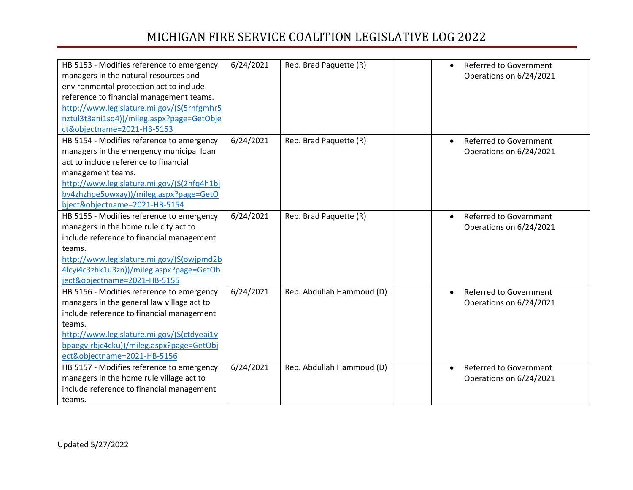| HB 5153 - Modifies reference to emergency  | 6/24/2021 | Rep. Brad Paquette (R)    | Referred to Government                     |
|--------------------------------------------|-----------|---------------------------|--------------------------------------------|
| managers in the natural resources and      |           |                           | Operations on 6/24/2021                    |
| environmental protection act to include    |           |                           |                                            |
| reference to financial management teams.   |           |                           |                                            |
| http://www.legislature.mi.gov/(S(5rnfgmhr5 |           |                           |                                            |
| nztul3t3ani1sq4))/mileg.aspx?page=GetObje  |           |                           |                                            |
| ct&objectname=2021-HB-5153                 |           |                           |                                            |
| HB 5154 - Modifies reference to emergency  | 6/24/2021 | Rep. Brad Paquette (R)    | <b>Referred to Government</b>              |
| managers in the emergency municipal loan   |           |                           | Operations on 6/24/2021                    |
| act to include reference to financial      |           |                           |                                            |
| management teams.                          |           |                           |                                            |
| http://www.legislature.mi.gov/(S(2nfq4h1bj |           |                           |                                            |
| bv4zhzhpe5owxay))/mileg.aspx?page=GetO     |           |                           |                                            |
| bject&objectname=2021-HB-5154              |           |                           |                                            |
| HB 5155 - Modifies reference to emergency  | 6/24/2021 | Rep. Brad Paquette (R)    | <b>Referred to Government</b><br>$\bullet$ |
| managers in the home rule city act to      |           |                           | Operations on 6/24/2021                    |
| include reference to financial management  |           |                           |                                            |
| teams.                                     |           |                           |                                            |
| http://www.legislature.mi.gov/(S(owjpmd2b  |           |                           |                                            |
| 4lcyi4c3zhk1u3zn))/mileg.aspx?page=GetOb   |           |                           |                                            |
| ject&objectname=2021-HB-5155               |           |                           |                                            |
| HB 5156 - Modifies reference to emergency  | 6/24/2021 | Rep. Abdullah Hammoud (D) | <b>Referred to Government</b><br>$\bullet$ |
| managers in the general law village act to |           |                           | Operations on 6/24/2021                    |
| include reference to financial management  |           |                           |                                            |
| teams.                                     |           |                           |                                            |
| http://www.legislature.mi.gov/(S(ctdyeai1y |           |                           |                                            |
| bpaegvjrbjc4cku))/mileg.aspx?page=GetObj   |           |                           |                                            |
| ect&objectname=2021-HB-5156                |           |                           |                                            |
| HB 5157 - Modifies reference to emergency  | 6/24/2021 | Rep. Abdullah Hammoud (D) | <b>Referred to Government</b><br>$\bullet$ |
| managers in the home rule village act to   |           |                           | Operations on 6/24/2021                    |
| include reference to financial management  |           |                           |                                            |
| teams.                                     |           |                           |                                            |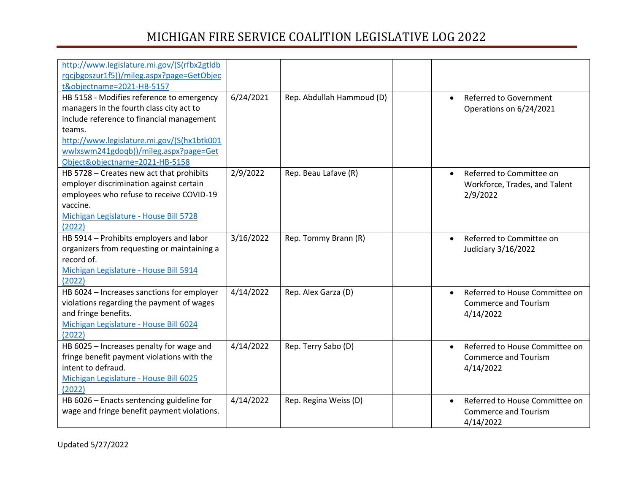| http://www.legislature.mi.gov/(S(rfbx2gtldb |           |                           |                                             |
|---------------------------------------------|-----------|---------------------------|---------------------------------------------|
| rqcjbgoszur1f5))/mileg.aspx?page=GetObjec   |           |                           |                                             |
| t&objectname=2021-HB-5157                   |           |                           |                                             |
| HB 5158 - Modifies reference to emergency   | 6/24/2021 | Rep. Abdullah Hammoud (D) | <b>Referred to Government</b><br>$\bullet$  |
| managers in the fourth class city act to    |           |                           | Operations on 6/24/2021                     |
| include reference to financial management   |           |                           |                                             |
| teams.                                      |           |                           |                                             |
| http://www.legislature.mi.gov/(S(hx1btk001  |           |                           |                                             |
| wwlxswm241gdoqb))/mileg.aspx?page=Get       |           |                           |                                             |
| Object&objectname=2021-HB-5158              |           |                           |                                             |
| HB 5728 - Creates new act that prohibits    | 2/9/2022  | Rep. Beau Lafave (R)      | Referred to Committee on<br>$\bullet$       |
| employer discrimination against certain     |           |                           | Workforce, Trades, and Talent               |
| employees who refuse to receive COVID-19    |           |                           | 2/9/2022                                    |
| vaccine.                                    |           |                           |                                             |
| Michigan Legislature - House Bill 5728      |           |                           |                                             |
| (2022)                                      |           |                           |                                             |
| HB 5914 - Prohibits employers and labor     | 3/16/2022 | Rep. Tommy Brann (R)      | Referred to Committee on<br>$\bullet$       |
| organizers from requesting or maintaining a |           |                           | Judiciary 3/16/2022                         |
| record of.                                  |           |                           |                                             |
| Michigan Legislature - House Bill 5914      |           |                           |                                             |
| (2022)                                      |           |                           |                                             |
| HB 6024 - Increases sanctions for employer  | 4/14/2022 | Rep. Alex Garza (D)       | Referred to House Committee on<br>$\bullet$ |
| violations regarding the payment of wages   |           |                           | <b>Commerce and Tourism</b>                 |
| and fringe benefits.                        |           |                           | 4/14/2022                                   |
| Michigan Legislature - House Bill 6024      |           |                           |                                             |
| (2022)                                      |           |                           |                                             |
| HB 6025 - Increases penalty for wage and    | 4/14/2022 | Rep. Terry Sabo (D)       | Referred to House Committee on<br>$\bullet$ |
| fringe benefit payment violations with the  |           |                           | <b>Commerce and Tourism</b>                 |
| intent to defraud.                          |           |                           | 4/14/2022                                   |
| Michigan Legislature - House Bill 6025      |           |                           |                                             |
| (2022)                                      |           |                           |                                             |
| HB 6026 - Enacts sentencing guideline for   | 4/14/2022 | Rep. Regina Weiss (D)     | Referred to House Committee on<br>$\bullet$ |
| wage and fringe benefit payment violations. |           |                           | <b>Commerce and Tourism</b>                 |
|                                             |           |                           | 4/14/2022                                   |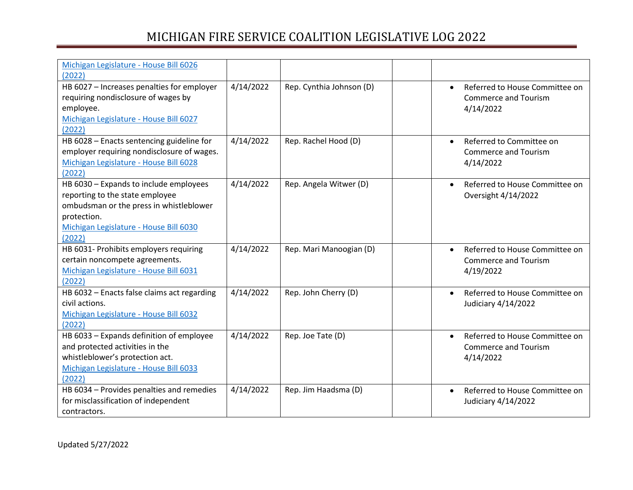| Michigan Legislature - House Bill 6026      |           |                          |                                             |
|---------------------------------------------|-----------|--------------------------|---------------------------------------------|
| (2022)                                      |           |                          |                                             |
| HB 6027 - Increases penalties for employer  | 4/14/2022 | Rep. Cynthia Johnson (D) | Referred to House Committee on<br>$\bullet$ |
| requiring nondisclosure of wages by         |           |                          | <b>Commerce and Tourism</b>                 |
| employee.                                   |           |                          | 4/14/2022                                   |
| Michigan Legislature - House Bill 6027      |           |                          |                                             |
| (2022)                                      |           |                          |                                             |
| HB 6028 - Enacts sentencing guideline for   | 4/14/2022 | Rep. Rachel Hood (D)     | Referred to Committee on<br>$\bullet$       |
| employer requiring nondisclosure of wages.  |           |                          | <b>Commerce and Tourism</b>                 |
| Michigan Legislature - House Bill 6028      |           |                          | 4/14/2022                                   |
| (2022)                                      |           |                          |                                             |
| HB 6030 - Expands to include employees      | 4/14/2022 | Rep. Angela Witwer (D)   | Referred to House Committee on<br>$\bullet$ |
| reporting to the state employee             |           |                          | Oversight 4/14/2022                         |
| ombudsman or the press in whistleblower     |           |                          |                                             |
| protection.                                 |           |                          |                                             |
| Michigan Legislature - House Bill 6030      |           |                          |                                             |
| (2022)                                      |           |                          |                                             |
| HB 6031- Prohibits employers requiring      | 4/14/2022 | Rep. Mari Manoogian (D)  | Referred to House Committee on<br>$\bullet$ |
| certain noncompete agreements.              |           |                          | <b>Commerce and Tourism</b>                 |
| Michigan Legislature - House Bill 6031      |           |                          | 4/19/2022                                   |
| (2022)                                      |           |                          |                                             |
| HB 6032 - Enacts false claims act regarding | 4/14/2022 | Rep. John Cherry (D)     | Referred to House Committee on              |
| civil actions.                              |           |                          | Judiciary 4/14/2022                         |
| Michigan Legislature - House Bill 6032      |           |                          |                                             |
| (2022)                                      |           |                          |                                             |
| HB 6033 - Expands definition of employee    | 4/14/2022 | Rep. Joe Tate (D)        | Referred to House Committee on<br>$\bullet$ |
| and protected activities in the             |           |                          | <b>Commerce and Tourism</b>                 |
| whistleblower's protection act.             |           |                          | 4/14/2022                                   |
| Michigan Legislature - House Bill 6033      |           |                          |                                             |
| (2022)                                      |           |                          |                                             |
| HB 6034 - Provides penalties and remedies   | 4/14/2022 | Rep. Jim Haadsma (D)     | Referred to House Committee on<br>$\bullet$ |
| for misclassification of independent        |           |                          | Judiciary 4/14/2022                         |
| contractors.                                |           |                          |                                             |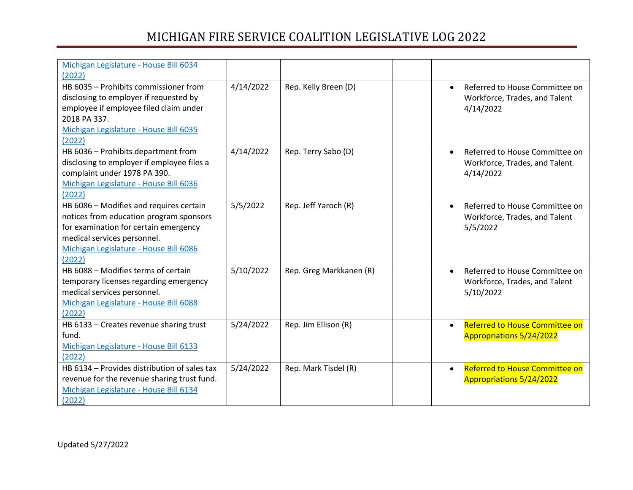| Michigan Legislature - House Bill 6034       |           |                         |                                             |
|----------------------------------------------|-----------|-------------------------|---------------------------------------------|
| (2022)                                       |           |                         |                                             |
| HB 6035 - Prohibits commissioner from        | 4/14/2022 | Rep. Kelly Breen (D)    | Referred to House Committee on<br>$\bullet$ |
| disclosing to employer if requested by       |           |                         | Workforce, Trades, and Talent               |
| employee if employee filed claim under       |           |                         | 4/14/2022                                   |
| 2018 PA 337.                                 |           |                         |                                             |
| Michigan Legislature - House Bill 6035       |           |                         |                                             |
| (2022)                                       |           |                         |                                             |
| HB 6036 - Prohibits department from          | 4/14/2022 | Rep. Terry Sabo (D)     | Referred to House Committee on<br>$\bullet$ |
| disclosing to employer if employee files a   |           |                         | Workforce, Trades, and Talent               |
| complaint under 1978 PA 390.                 |           |                         | 4/14/2022                                   |
| Michigan Legislature - House Bill 6036       |           |                         |                                             |
| (2022)                                       |           |                         |                                             |
| HB 6086 - Modifies and requires certain      | 5/5/2022  | Rep. Jeff Yaroch (R)    | Referred to House Committee on<br>$\bullet$ |
| notices from education program sponsors      |           |                         | Workforce, Trades, and Talent               |
| for examination for certain emergency        |           |                         | 5/5/2022                                    |
| medical services personnel.                  |           |                         |                                             |
| Michigan Legislature - House Bill 6086       |           |                         |                                             |
| (2022)                                       |           |                         |                                             |
| HB 6088 - Modifies terms of certain          | 5/10/2022 | Rep. Greg Markkanen (R) | Referred to House Committee on<br>$\bullet$ |
| temporary licenses regarding emergency       |           |                         | Workforce, Trades, and Talent               |
| medical services personnel.                  |           |                         | 5/10/2022                                   |
| Michigan Legislature - House Bill 6088       |           |                         |                                             |
| (2022)                                       |           |                         |                                             |
| HB 6133 - Creates revenue sharing trust      | 5/24/2022 | Rep. Jim Ellison (R)    | Referred to House Committee on<br>$\bullet$ |
| fund.                                        |           |                         | Appropriations 5/24/2022                    |
| Michigan Legislature - House Bill 6133       |           |                         |                                             |
| (2022)                                       |           |                         |                                             |
| HB 6134 - Provides distribution of sales tax | 5/24/2022 | Rep. Mark Tisdel (R)    | Referred to House Committee on<br>$\bullet$ |
| revenue for the revenue sharing trust fund.  |           |                         | Appropriations 5/24/2022                    |
| Michigan Legislature - House Bill 6134       |           |                         |                                             |
| (2022)                                       |           |                         |                                             |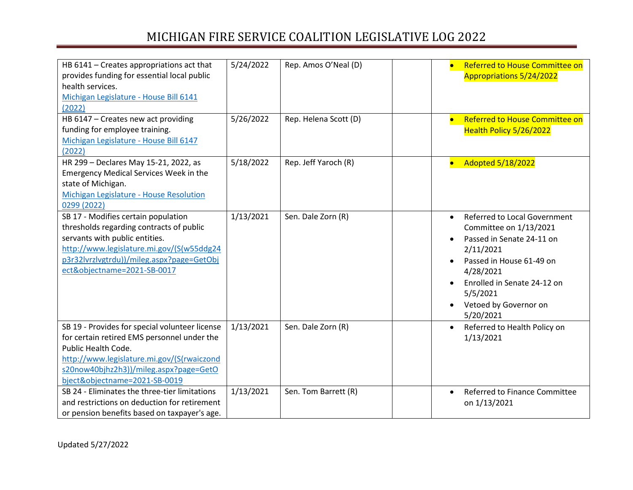| HB 6141 - Creates appropriations act that<br>provides funding for essential local public<br>health services.<br>Michigan Legislature - House Bill 6141<br>(2022)<br>HB 6147 - Creates new act providing                                       | 5/24/2022<br>5/26/2022 | Rep. Amos O'Neal (D)<br>Rep. Helena Scott (D) |           | Referred to House Committee on<br><b>Appropriations 5/24/2022</b><br>Referred to House Committee on                                                                                                                               |
|-----------------------------------------------------------------------------------------------------------------------------------------------------------------------------------------------------------------------------------------------|------------------------|-----------------------------------------------|-----------|-----------------------------------------------------------------------------------------------------------------------------------------------------------------------------------------------------------------------------------|
| funding for employee training.<br>Michigan Legislature - House Bill 6147<br>(2022)                                                                                                                                                            |                        |                                               |           | Health Policy 5/26/2022                                                                                                                                                                                                           |
| HR 299 - Declares May 15-21, 2022, as<br><b>Emergency Medical Services Week in the</b><br>state of Michigan.<br>Michigan Legislature - House Resolution<br>0299 (2022)                                                                        | 5/18/2022              | Rep. Jeff Yaroch (R)                          |           | <b>Adopted 5/18/2022</b>                                                                                                                                                                                                          |
| SB 17 - Modifies certain population<br>thresholds regarding contracts of public<br>servants with public entities.<br>http://www.legislature.mi.gov/(S(w55ddg24<br>p3r32IvrzIvgtrdu))/mileg.aspx?page=GetObj<br>ect&objectname=2021-SB-0017    | 1/13/2021              | Sen. Dale Zorn (R)                            |           | <b>Referred to Local Government</b><br>Committee on 1/13/2021<br>Passed in Senate 24-11 on<br>2/11/2021<br>Passed in House 61-49 on<br>4/28/2021<br>Enrolled in Senate 24-12 on<br>5/5/2021<br>Vetoed by Governor on<br>5/20/2021 |
| SB 19 - Provides for special volunteer license<br>for certain retired EMS personnel under the<br>Public Health Code.<br>http://www.legislature.mi.gov/(S(rwaiczond<br>s20now40bjhz2h3))/mileg.aspx?page=GetO<br>bject&objectname=2021-SB-0019 | 1/13/2021              | Sen. Dale Zorn (R)                            | $\bullet$ | Referred to Health Policy on<br>1/13/2021                                                                                                                                                                                         |
| SB 24 - Eliminates the three-tier limitations<br>and restrictions on deduction for retirement<br>or pension benefits based on taxpayer's age.                                                                                                 | 1/13/2021              | Sen. Tom Barrett (R)                          | $\bullet$ | <b>Referred to Finance Committee</b><br>on 1/13/2021                                                                                                                                                                              |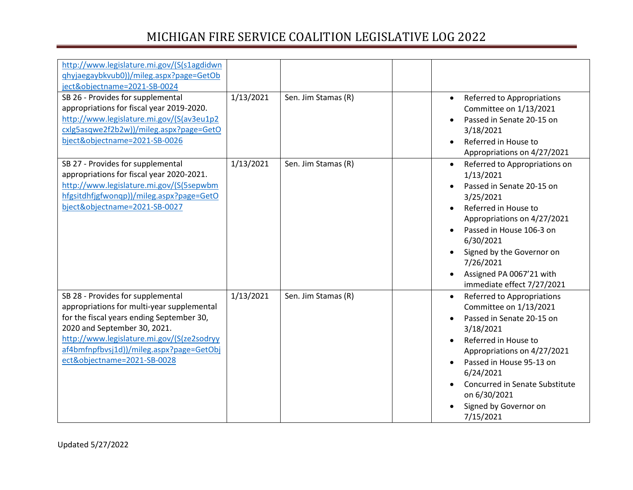| http://www.legislature.mi.gov/(S(s1agdidwn<br>qhyjaegaybkvub0))/mileg.aspx?page=GetOb<br>ject&objectname=2021-SB-0024<br>SB 26 - Provides for supplemental<br>appropriations for fiscal year 2019-2020.<br>http://www.legislature.mi.gov/(S(av3eu1p2<br>cxlg5asqwe2f2b2w))/mileg.aspx?page=GetO<br>bject&objectname=2021-SB-0026 | 1/13/2021 | Sen. Jim Stamas (R) | Referred to Appropriations<br>$\bullet$<br>Committee on 1/13/2021<br>Passed in Senate 20-15 on<br>3/18/2021<br>Referred in House to<br>Appropriations on 4/27/2021                                                                                                                       |
|----------------------------------------------------------------------------------------------------------------------------------------------------------------------------------------------------------------------------------------------------------------------------------------------------------------------------------|-----------|---------------------|------------------------------------------------------------------------------------------------------------------------------------------------------------------------------------------------------------------------------------------------------------------------------------------|
| SB 27 - Provides for supplemental<br>appropriations for fiscal year 2020-2021.<br>http://www.legislature.mi.gov/(S(5sepwbm<br>hfgsitdhfjgfwonqp))/mileg.aspx?page=GetO<br>bject&objectname=2021-SB-0027                                                                                                                          | 1/13/2021 | Sen. Jim Stamas (R) | Referred to Appropriations on<br>1/13/2021<br>Passed in Senate 20-15 on<br>3/25/2021<br>Referred in House to<br>Appropriations on 4/27/2021<br>Passed in House 106-3 on<br>6/30/2021<br>Signed by the Governor on<br>7/26/2021<br>Assigned PA 0067'21 with<br>immediate effect 7/27/2021 |
| SB 28 - Provides for supplemental<br>appropriations for multi-year supplemental<br>for the fiscal years ending September 30,<br>2020 and September 30, 2021.<br>http://www.legislature.mi.gov/(S(ze2sodryy<br>af4bmfnpfbvsj1d))/mileg.aspx?page=GetObj<br>ect&objectname=2021-SB-0028                                            | 1/13/2021 | Sen. Jim Stamas (R) | Referred to Appropriations<br>Committee on 1/13/2021<br>Passed in Senate 20-15 on<br>3/18/2021<br>Referred in House to<br>Appropriations on 4/27/2021<br>Passed in House 95-13 on<br>6/24/2021<br>Concurred in Senate Substitute<br>on 6/30/2021<br>Signed by Governor on<br>7/15/2021   |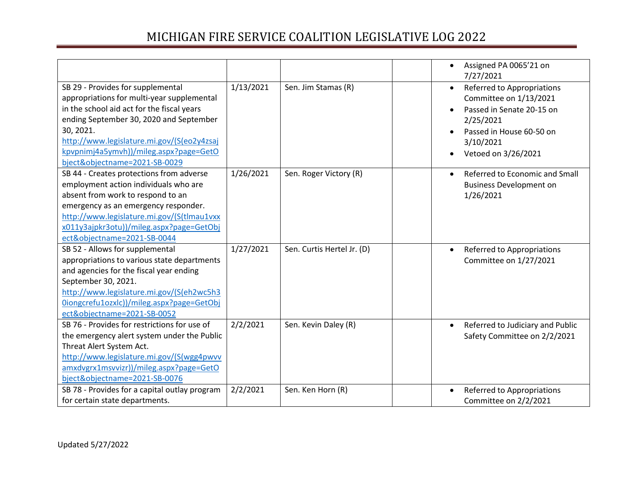|                                                                                                                                                                                                                                                                                                                |           |                            | Assigned PA 0065'21 on<br>$\bullet$<br>7/27/2021                                                                                                                            |
|----------------------------------------------------------------------------------------------------------------------------------------------------------------------------------------------------------------------------------------------------------------------------------------------------------------|-----------|----------------------------|-----------------------------------------------------------------------------------------------------------------------------------------------------------------------------|
| SB 29 - Provides for supplemental<br>appropriations for multi-year supplemental<br>in the school aid act for the fiscal years<br>ending September 30, 2020 and September<br>30, 2021.<br>http://www.legislature.mi.gov/(S(eo2y4zsaj<br>kpvpnimj4a5ymvh))/mileg.aspx?page=GetO<br>bject&objectname=2021-SB-0029 | 1/13/2021 | Sen. Jim Stamas (R)        | Referred to Appropriations<br>$\bullet$<br>Committee on 1/13/2021<br>Passed in Senate 20-15 on<br>2/25/2021<br>Passed in House 60-50 on<br>3/10/2021<br>Vetoed on 3/26/2021 |
| SB 44 - Creates protections from adverse<br>employment action individuals who are<br>absent from work to respond to an<br>emergency as an emergency responder.<br>http://www.legislature.mi.gov/(S(tlmau1vxx<br>x011y3ajpkr3otu))/mileg.aspx?page=GetObj<br>ect&objectname=2021-SB-0044                        | 1/26/2021 | Sen. Roger Victory (R)     | Referred to Economic and Small<br><b>Business Development on</b><br>1/26/2021                                                                                               |
| SB 52 - Allows for supplemental<br>appropriations to various state departments<br>and agencies for the fiscal year ending<br>September 30, 2021.<br>http://www.legislature.mi.gov/(S(eh2wc5h3<br>0iongcrefu1ozxlc))/mileg.aspx?page=GetObj<br>ect&objectname=2021-SB-0052                                      | 1/27/2021 | Sen. Curtis Hertel Jr. (D) | Referred to Appropriations<br>Committee on 1/27/2021                                                                                                                        |
| SB 76 - Provides for restrictions for use of<br>the emergency alert system under the Public<br>Threat Alert System Act.<br>http://www.legislature.mi.gov/(S(wgg4pwvv<br>amxdvgrx1msvvizr))/mileg.aspx?page=GetO<br>bject&objectname=2021-SB-0076                                                               | 2/2/2021  | Sen. Kevin Daley (R)       | Referred to Judiciary and Public<br>$\bullet$<br>Safety Committee on 2/2/2021                                                                                               |
| SB 78 - Provides for a capital outlay program<br>for certain state departments.                                                                                                                                                                                                                                | 2/2/2021  | Sen. Ken Horn (R)          | Referred to Appropriations<br>Committee on 2/2/2021                                                                                                                         |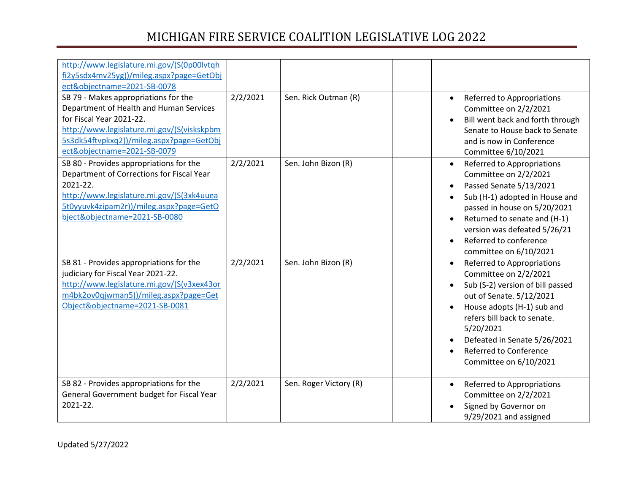| http://www.legislature.mi.gov/(S(0p00lvtqh<br>fi2y5sdx4mv25yg))/mileg.aspx?page=GetObj<br>ect&objectname=2021-SB-0078<br>SB 79 - Makes appropriations for the<br>Department of Health and Human Services<br>for Fiscal Year 2021-22.<br>http://www.legislature.mi.gov/(S(viskskpbm<br>5s3dk54ftvpkxq2))/mileg.aspx?page=GetObj<br>ect&objectname=2021-SB-0079 | 2/2/2021 | Sen. Rick Outman (R)   | $\bullet$ | Referred to Appropriations<br>Committee on 2/2/2021<br>Bill went back and forth through<br>Senate to House back to Senate<br>and is now in Conference<br>Committee 6/10/2021                                                                                                             |
|---------------------------------------------------------------------------------------------------------------------------------------------------------------------------------------------------------------------------------------------------------------------------------------------------------------------------------------------------------------|----------|------------------------|-----------|------------------------------------------------------------------------------------------------------------------------------------------------------------------------------------------------------------------------------------------------------------------------------------------|
| SB 80 - Provides appropriations for the<br>Department of Corrections for Fiscal Year<br>2021-22.<br>http://www.legislature.mi.gov/(S(3xk4uuea<br>5t0yyuvk4zipam2r))/mileg.aspx?page=GetO<br>bject&objectname=2021-SB-0080                                                                                                                                     | 2/2/2021 | Sen. John Bizon (R)    |           | Referred to Appropriations<br>Committee on 2/2/2021<br>Passed Senate 5/13/2021<br>Sub (H-1) adopted in House and<br>passed in house on 5/20/2021<br>Returned to senate and (H-1)<br>version was defeated 5/26/21<br>Referred to conference<br>committee on 6/10/2021                     |
| SB 81 - Provides appropriations for the<br>judiciary for Fiscal Year 2021-22.<br>http://www.legislature.mi.gov/(S(v3xex43or<br>m4bk2ov0qjwman5))/mileg.aspx?page=Get<br>Object&objectname=2021-SB-0081                                                                                                                                                        | 2/2/2021 | Sen. John Bizon (R)    | $\bullet$ | Referred to Appropriations<br>Committee on 2/2/2021<br>Sub (S-2) version of bill passed<br>out of Senate. 5/12/2021<br>House adopts (H-1) sub and<br>refers bill back to senate.<br>5/20/2021<br>Defeated in Senate 5/26/2021<br><b>Referred to Conference</b><br>Committee on 6/10/2021 |
| SB 82 - Provides appropriations for the<br>General Government budget for Fiscal Year<br>2021-22.                                                                                                                                                                                                                                                              | 2/2/2021 | Sen. Roger Victory (R) |           | Referred to Appropriations<br>Committee on 2/2/2021<br>Signed by Governor on<br>9/29/2021 and assigned                                                                                                                                                                                   |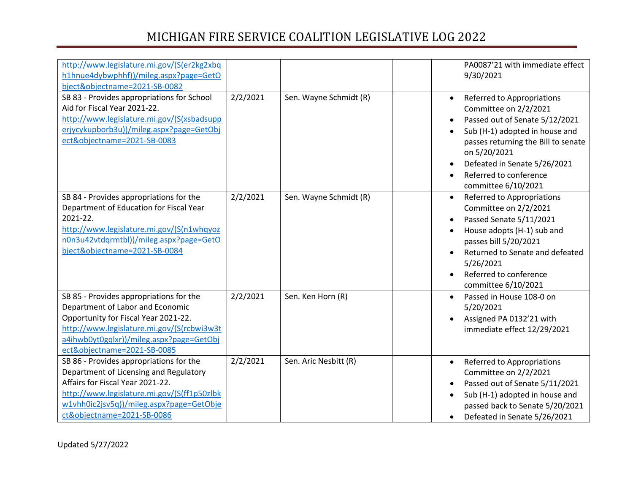| http://www.legislature.mi.gov/(S(er2kg2xbq<br>h1hnue4dybwphhf))/mileg.aspx?page=GetO<br>bject&objectname=2021-SB-0082                                                                                                                          |          |                        | PA0087'21 with immediate effect<br>9/30/2021                                                                                                                                                                                                                                 |
|------------------------------------------------------------------------------------------------------------------------------------------------------------------------------------------------------------------------------------------------|----------|------------------------|------------------------------------------------------------------------------------------------------------------------------------------------------------------------------------------------------------------------------------------------------------------------------|
| SB 83 - Provides appropriations for School<br>Aid for Fiscal Year 2021-22.<br>http://www.legislature.mi.gov/(S(xsbadsupp<br>erjycykupborb3u))/mileg.aspx?page=GetObj<br>ect&objectname=2021-SB-0083                                            | 2/2/2021 | Sen. Wayne Schmidt (R) | Referred to Appropriations<br>$\bullet$<br>Committee on 2/2/2021<br>Passed out of Senate 5/12/2021<br>Sub (H-1) adopted in house and<br>passes returning the Bill to senate<br>on 5/20/2021<br>Defeated in Senate 5/26/2021<br>Referred to conference<br>committee 6/10/2021 |
| SB 84 - Provides appropriations for the<br>Department of Education for Fiscal Year<br>2021-22.<br>http://www.legislature.mi.gov/(S(n1whqyoz<br>n0n3u42vtdqrmtbl))/mileg.aspx?page=GetO<br>bject&objectname=2021-SB-0084                        | 2/2/2021 | Sen. Wayne Schmidt (R) | Referred to Appropriations<br>$\bullet$<br>Committee on 2/2/2021<br>Passed Senate 5/11/2021<br>House adopts (H-1) sub and<br>passes bill 5/20/2021<br>Returned to Senate and defeated<br>5/26/2021<br>Referred to conference<br>committee 6/10/2021                          |
| SB 85 - Provides appropriations for the<br>Department of Labor and Economic<br>Opportunity for Fiscal Year 2021-22.<br>http://www.legislature.mi.gov/(S(rcbwi3w3t<br>a4ihwb0yt0gqlxr))/mileg.aspx?page=GetObj<br>ect&objectname=2021-SB-0085   | 2/2/2021 | Sen. Ken Horn (R)      | Passed in House 108-0 on<br>5/20/2021<br>Assigned PA 0132'21 with<br>immediate effect 12/29/2021                                                                                                                                                                             |
| SB 86 - Provides appropriations for the<br>Department of Licensing and Regulatory<br>Affairs for Fiscal Year 2021-22.<br>http://www.legislature.mi.gov/(S(ff1p50zlbk<br>w1vhh0ic2jsv5q))/mileg.aspx?page=GetObje<br>ct&objectname=2021-SB-0086 | 2/2/2021 | Sen. Aric Nesbitt (R)  | Referred to Appropriations<br>$\bullet$<br>Committee on 2/2/2021<br>Passed out of Senate 5/11/2021<br>Sub (H-1) adopted in house and<br>passed back to Senate 5/20/2021<br>Defeated in Senate 5/26/2021<br>$\bullet$                                                         |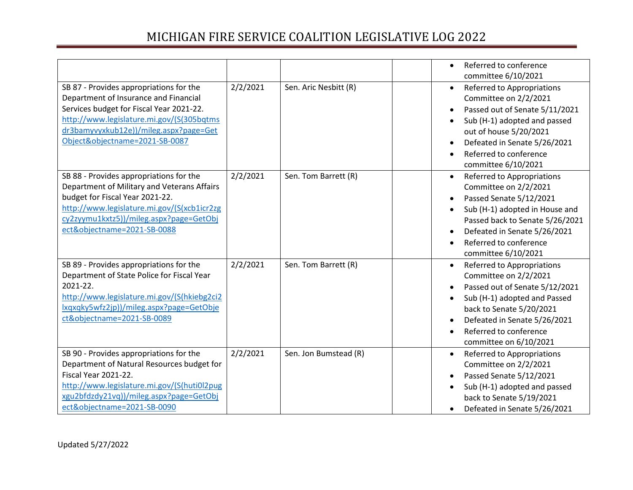|                                                                                                                                                                                                                                                       |          |                       | Referred to conference<br>$\bullet$<br>committee 6/10/2021                                                                                                                                                                                                      |
|-------------------------------------------------------------------------------------------------------------------------------------------------------------------------------------------------------------------------------------------------------|----------|-----------------------|-----------------------------------------------------------------------------------------------------------------------------------------------------------------------------------------------------------------------------------------------------------------|
| SB 87 - Provides appropriations for the<br>Department of Insurance and Financial<br>Services budget for Fiscal Year 2021-22.<br>http://www.legislature.mi.gov/(S(305bqtms<br>dr3bamyvyxkub12e))/mileg.aspx?page=Get<br>Object&objectname=2021-SB-0087 | 2/2/2021 | Sen. Aric Nesbitt (R) | Referred to Appropriations<br>$\bullet$<br>Committee on 2/2/2021<br>Passed out of Senate 5/11/2021<br>Sub (H-1) adopted and passed<br>out of house 5/20/2021<br>Defeated in Senate 5/26/2021<br>Referred to conference<br>committee 6/10/2021                   |
| SB 88 - Provides appropriations for the<br>Department of Military and Veterans Affairs<br>budget for Fiscal Year 2021-22.<br>http://www.legislature.mi.gov/(S(xcb1icr2zg<br>cy2zyymu1kxtz5))/mileg.aspx?page=GetObj<br>ect&objectname=2021-SB-0088    | 2/2/2021 | Sen. Tom Barrett (R)  | Referred to Appropriations<br>Committee on 2/2/2021<br>Passed Senate 5/12/2021<br>Sub (H-1) adopted in House and<br>Passed back to Senate 5/26/2021<br>Defeated in Senate 5/26/2021<br>Referred to conference<br>committee 6/10/2021                            |
| SB 89 - Provides appropriations for the<br>Department of State Police for Fiscal Year<br>2021-22.<br>http://www.legislature.mi.gov/(S(hkiebg2ci2<br>lxqxqky5wfz2jp))/mileg.aspx?page=GetObje<br>ct&objectname=2021-SB-0089                            | 2/2/2021 | Sen. Tom Barrett (R)  | Referred to Appropriations<br>$\bullet$<br>Committee on 2/2/2021<br>Passed out of Senate 5/12/2021<br>Sub (H-1) adopted and Passed<br>$\bullet$<br>back to Senate 5/20/2021<br>Defeated in Senate 5/26/2021<br>Referred to conference<br>committee on 6/10/2021 |
| SB 90 - Provides appropriations for the<br>Department of Natural Resources budget for<br><b>Fiscal Year 2021-22.</b><br>http://www.legislature.mi.gov/(S(huti0l2pug<br>xgu2bfdzdy21vq))/mileg.aspx?page=GetObj<br>ect&objectname=2021-SB-0090         | 2/2/2021 | Sen. Jon Bumstead (R) | Referred to Appropriations<br>$\bullet$<br>Committee on 2/2/2021<br>Passed Senate 5/12/2021<br>Sub (H-1) adopted and passed<br>back to Senate 5/19/2021<br>Defeated in Senate 5/26/2021                                                                         |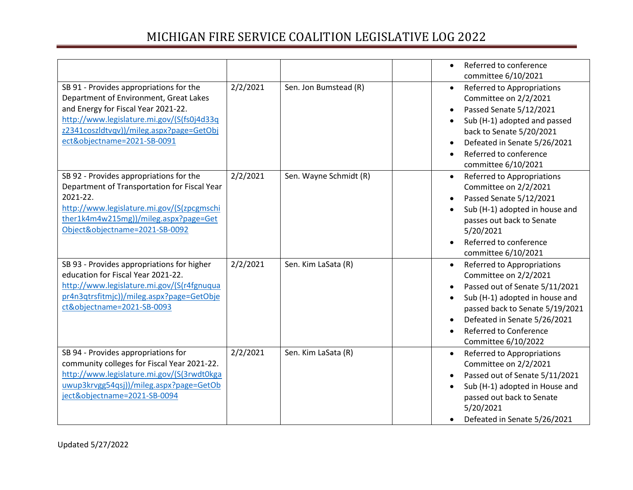|                                                                                                                                                                                                                                                   |          |                        | $\bullet$ | Referred to conference<br>committee 6/10/2021                                                                                                                                                                                                      |
|---------------------------------------------------------------------------------------------------------------------------------------------------------------------------------------------------------------------------------------------------|----------|------------------------|-----------|----------------------------------------------------------------------------------------------------------------------------------------------------------------------------------------------------------------------------------------------------|
| SB 91 - Provides appropriations for the<br>Department of Environment, Great Lakes<br>and Energy for Fiscal Year 2021-22.<br>http://www.legislature.mi.gov/(S(fs0j4d33q<br>z2341coszldtvqv))/mileg.aspx?page=GetObj<br>ect&objectname=2021-SB-0091 | 2/2/2021 | Sen. Jon Bumstead (R)  | $\bullet$ | Referred to Appropriations<br>Committee on 2/2/2021<br>Passed Senate 5/12/2021<br>Sub (H-1) adopted and passed<br>back to Senate 5/20/2021<br>Defeated in Senate 5/26/2021<br>Referred to conference<br>committee 6/10/2021                        |
| SB 92 - Provides appropriations for the<br>Department of Transportation for Fiscal Year<br>2021-22.<br>http://www.legislature.mi.gov/(S(zpcgmschi<br>ther1k4m4w215mg))/mileg.aspx?page=Get<br>Object&objectname=2021-SB-0092                      | 2/2/2021 | Sen. Wayne Schmidt (R) | $\bullet$ | Referred to Appropriations<br>Committee on 2/2/2021<br>Passed Senate 5/12/2021<br>Sub (H-1) adopted in house and<br>passes out back to Senate<br>5/20/2021<br>Referred to conference<br>committee 6/10/2021                                        |
| SB 93 - Provides appropriations for higher<br>education for Fiscal Year 2021-22.<br>http://www.legislature.mi.gov/(S(r4fgnuqua<br>pr4n3qtrsfitmjc))/mileg.aspx?page=GetObje<br>ct&objectname=2021-SB-0093                                         | 2/2/2021 | Sen. Kim LaSata (R)    | $\bullet$ | Referred to Appropriations<br>Committee on 2/2/2021<br>Passed out of Senate 5/11/2021<br>Sub (H-1) adopted in house and<br>passed back to Senate 5/19/2021<br>Defeated in Senate 5/26/2021<br><b>Referred to Conference</b><br>Committee 6/10/2022 |
| SB 94 - Provides appropriations for<br>community colleges for Fiscal Year 2021-22.<br>http://www.legislature.mi.gov/(S(3rwdt0kga<br>uwup3krvgg54qsj))/mileg.aspx?page=GetOb<br>ject&objectname=2021-SB-0094                                       | 2/2/2021 | Sen. Kim LaSata (R)    | $\bullet$ | Referred to Appropriations<br>Committee on 2/2/2021<br>Passed out of Senate 5/11/2021<br>Sub (H-1) adopted in House and<br>passed out back to Senate<br>5/20/2021<br>Defeated in Senate 5/26/2021                                                  |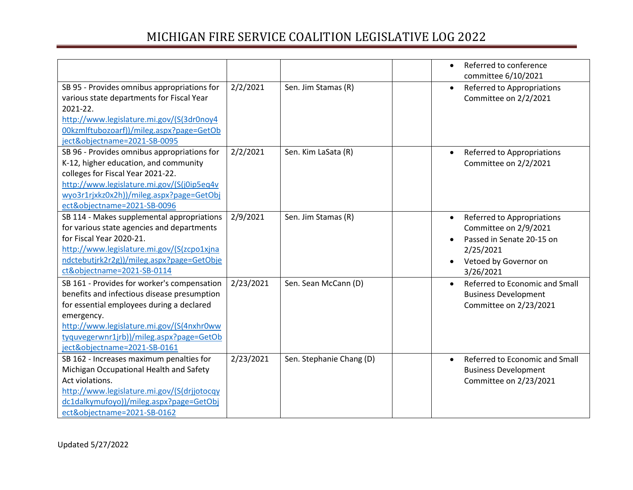|                                                                                                                                                                                                                                                                                |           |                          | Referred to conference<br>$\bullet$<br>committee 6/10/2021                                                                                       |
|--------------------------------------------------------------------------------------------------------------------------------------------------------------------------------------------------------------------------------------------------------------------------------|-----------|--------------------------|--------------------------------------------------------------------------------------------------------------------------------------------------|
| SB 95 - Provides omnibus appropriations for<br>various state departments for Fiscal Year<br>2021-22.<br>http://www.legislature.mi.gov/(S(3dr0noy4<br>00kzmlftubozoarf))/mileg.aspx?page=GetOb<br>ject&objectname=2021-SB-0095                                                  | 2/2/2021  | Sen. Jim Stamas (R)      | Referred to Appropriations<br>$\bullet$<br>Committee on 2/2/2021                                                                                 |
| SB 96 - Provides omnibus appropriations for<br>K-12, higher education, and community<br>colleges for Fiscal Year 2021-22.<br>http://www.legislature.mi.gov/(S(j0ip5eq4v<br>wyo3r1rjxkz0x2h))/mileg.aspx?page=GetObj<br>ect&objectname=2021-SB-0096                             | 2/2/2021  | Sen. Kim LaSata (R)      | Referred to Appropriations<br>$\bullet$<br>Committee on 2/2/2021                                                                                 |
| SB 114 - Makes supplemental appropriations<br>for various state agencies and departments<br>for Fiscal Year 2020-21.<br>http://www.legislature.mi.gov/(S(zcpo1xjna<br>ndctebutjrk2r2g))/mileg.aspx?page=GetObje<br>ct&objectname=2021-SB-0114                                  | 2/9/2021  | Sen. Jim Stamas (R)      | Referred to Appropriations<br>$\bullet$<br>Committee on 2/9/2021<br>Passed in Senate 20-15 on<br>2/25/2021<br>Vetoed by Governor on<br>3/26/2021 |
| SB 161 - Provides for worker's compensation<br>benefits and infectious disease presumption<br>for essential employees during a declared<br>emergency.<br>http://www.legislature.mi.gov/(S(4nxhr0ww<br>tyquvegerwnr1jrb))/mileg.aspx?page=GetOb<br>ject&objectname=2021-SB-0161 | 2/23/2021 | Sen. Sean McCann (D)     | Referred to Economic and Small<br><b>Business Development</b><br>Committee on 2/23/2021                                                          |
| SB 162 - Increases maximum penalties for<br>Michigan Occupational Health and Safety<br>Act violations.<br>http://www.legislature.mi.gov/(S(drjjotocqy<br>dc1dalkymufoyo))/mileg.aspx?page=GetObj<br>ect&objectname=2021-SB-0162                                                | 2/23/2021 | Sen. Stephanie Chang (D) | Referred to Economic and Small<br>$\bullet$<br><b>Business Development</b><br>Committee on 2/23/2021                                             |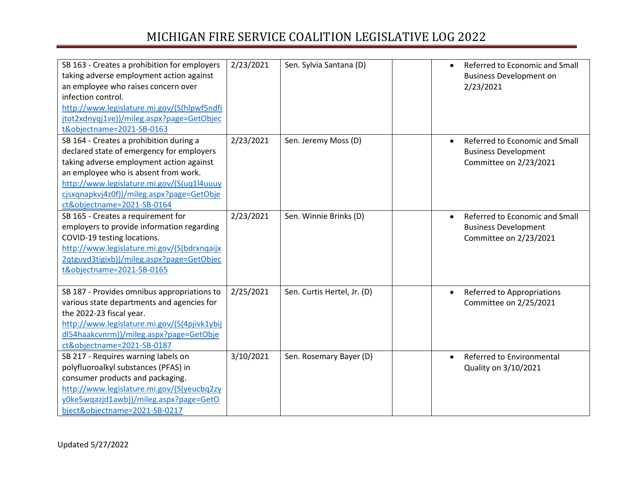| SB 163 - Creates a prohibition for employers<br>taking adverse employment action against<br>an employee who raises concern over<br>infection control.<br>http://www.legislature.mi.gov/(S(hlpwf5ndfi<br>jtot2xdnyqj1ve))/mileg.aspx?page=GetObjec<br>t&objectname=2021-SB-0163                    | 2/23/2021 | Sen. Sylvia Santana (D)     |           | Referred to Economic and Small<br><b>Business Development on</b><br>2/23/2021           |
|---------------------------------------------------------------------------------------------------------------------------------------------------------------------------------------------------------------------------------------------------------------------------------------------------|-----------|-----------------------------|-----------|-----------------------------------------------------------------------------------------|
| SB 164 - Creates a prohibition during a<br>declared state of emergency for employers<br>taking adverse employment action against<br>an employee who is absent from work.<br>http://www.legislature.mi.gov/(S(uq1l4uuuy<br>cjsxqnapkvj4z0f))/mileg.aspx?page=GetObje<br>ct&objectname=2021-SB-0164 | 2/23/2021 | Sen. Jeremy Moss (D)        | $\bullet$ | Referred to Economic and Small<br><b>Business Development</b><br>Committee on 2/23/2021 |
| SB 165 - Creates a requirement for<br>employers to provide information regarding<br>COVID-19 testing locations.<br>http://www.legislature.mi.gov/(S(bdrxnqaijx<br>2qtguyd3tigixb))/mileg.aspx?page=GetObjec<br>t&objectname=2021-SB-0165                                                          | 2/23/2021 | Sen. Winnie Brinks (D)      |           | Referred to Economic and Small<br><b>Business Development</b><br>Committee on 2/23/2021 |
| SB 187 - Provides omnibus appropriations to<br>various state departments and agencies for<br>the 2022-23 fiscal year.<br>http://www.legislature.mi.gov/(S(4pjivk1ybij<br>dl54haakcvnrm))/mileg.aspx?page=GetObje<br>ct&objectname=2021-SB-0187                                                    | 2/25/2021 | Sen. Curtis Hertel, Jr. (D) |           | Referred to Appropriations<br>Committee on 2/25/2021                                    |
| SB 217 - Requires warning labels on<br>polyfluoroalkyl substances (PFAS) in<br>consumer products and packaging.<br>http://www.legislature.mi.gov/(S(yeucbq2zy<br>y0ke5wqazjd1awb))/mileg.aspx?page=GetO<br>bject&objectname=2021-SB-0217                                                          | 3/10/2021 | Sen. Rosemary Bayer (D)     | $\bullet$ | Referred to Environmental<br>Quality on 3/10/2021                                       |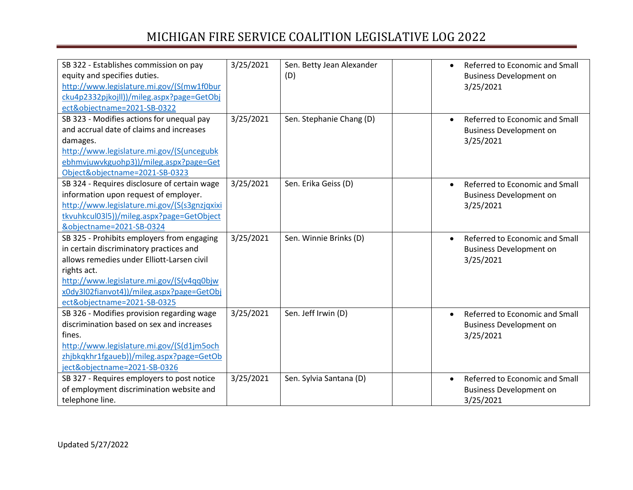| SB 322 - Establishes commission on pay<br>equity and specifies duties.<br>http://www.legislature.mi.gov/(S(mw1f0bur<br>cku4p2332pjkojll))/mileg.aspx?page=GetObj<br>ect&objectname=2021-SB-0322                                                                             | 3/25/2021 | Sen. Betty Jean Alexander<br>(D) | Referred to Economic and Small<br>$\bullet$<br><b>Business Development on</b><br>3/25/2021 |
|-----------------------------------------------------------------------------------------------------------------------------------------------------------------------------------------------------------------------------------------------------------------------------|-----------|----------------------------------|--------------------------------------------------------------------------------------------|
| SB 323 - Modifies actions for unequal pay<br>and accrual date of claims and increases<br>damages.<br>http://www.legislature.mi.gov/(S(uncegubk<br>ebhmvjuwvkguohp3))/mileg.aspx?page=Get<br>Object&objectname=2021-SB-0323                                                  | 3/25/2021 | Sen. Stephanie Chang (D)         | Referred to Economic and Small<br>$\bullet$<br><b>Business Development on</b><br>3/25/2021 |
| SB 324 - Requires disclosure of certain wage<br>information upon request of employer.<br>http://www.legislature.mi.gov/(S(s3gnzjqxixi<br>tkvuhkcul03l5))/mileg.aspx?page=GetObject<br>&objectname=2021-SB-0324                                                              | 3/25/2021 | Sen. Erika Geiss (D)             | Referred to Economic and Small<br>$\bullet$<br><b>Business Development on</b><br>3/25/2021 |
| SB 325 - Prohibits employers from engaging<br>in certain discriminatory practices and<br>allows remedies under Elliott-Larsen civil<br>rights act.<br>http://www.legislature.mi.gov/(S(v4qq0bjw<br>x0dy3l02fianvot4))/mileg.aspx?page=GetObj<br>ect&objectname=2021-SB-0325 | 3/25/2021 | Sen. Winnie Brinks (D)           | Referred to Economic and Small<br><b>Business Development on</b><br>3/25/2021              |
| SB 326 - Modifies provision regarding wage<br>discrimination based on sex and increases<br>fines.<br>http://www.legislature.mi.gov/(S(d1jm5och<br>zhjbkqkhr1fgaueb))/mileg.aspx?page=GetOb<br>ject&objectname=2021-SB-0326                                                  | 3/25/2021 | Sen. Jeff Irwin (D)              | Referred to Economic and Small<br>$\bullet$<br><b>Business Development on</b><br>3/25/2021 |
| SB 327 - Requires employers to post notice<br>of employment discrimination website and<br>telephone line.                                                                                                                                                                   | 3/25/2021 | Sen. Sylvia Santana (D)          | Referred to Economic and Small<br>$\bullet$<br><b>Business Development on</b><br>3/25/2021 |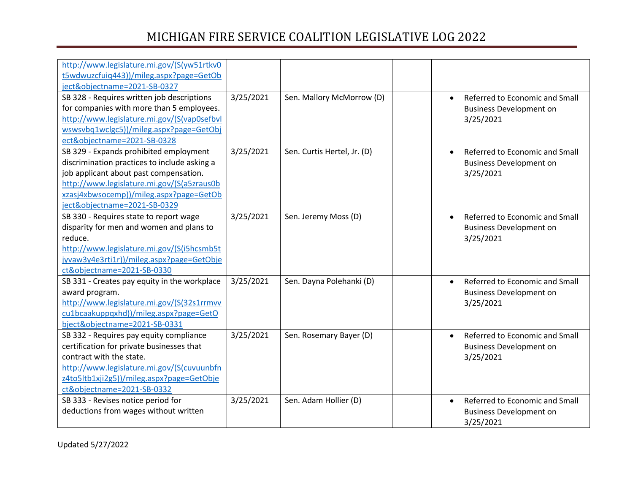| http://www.legislature.mi.gov/(S(yw51rtkv0   |           |                             |           |                                |
|----------------------------------------------|-----------|-----------------------------|-----------|--------------------------------|
| t5wdwuzcfuiq443))/mileg.aspx?page=GetOb      |           |                             |           |                                |
| ject&objectname=2021-SB-0327                 |           |                             |           |                                |
| SB 328 - Requires written job descriptions   | 3/25/2021 | Sen. Mallory McMorrow (D)   | $\bullet$ | Referred to Economic and Small |
| for companies with more than 5 employees.    |           |                             |           | <b>Business Development on</b> |
| http://www.legislature.mi.gov/(S(vap0sefbvl  |           |                             |           | 3/25/2021                      |
| wswsvbq1wclgc5))/mileg.aspx?page=GetObj      |           |                             |           |                                |
| ect&objectname=2021-SB-0328                  |           |                             |           |                                |
| SB 329 - Expands prohibited employment       | 3/25/2021 | Sen. Curtis Hertel, Jr. (D) | $\bullet$ | Referred to Economic and Small |
| discrimination practices to include asking a |           |                             |           | <b>Business Development on</b> |
| job applicant about past compensation.       |           |                             |           | 3/25/2021                      |
| http://www.legislature.mi.gov/(S(a5zraus0b   |           |                             |           |                                |
| xzasj4xbwsocemp))/mileg.aspx?page=GetOb      |           |                             |           |                                |
| ject&objectname=2021-SB-0329                 |           |                             |           |                                |
| SB 330 - Requires state to report wage       | 3/25/2021 | Sen. Jeremy Moss (D)        | $\bullet$ | Referred to Economic and Small |
| disparity for men and women and plans to     |           |                             |           | <b>Business Development on</b> |
| reduce.                                      |           |                             |           | 3/25/2021                      |
| http://www.legislature.mi.gov/(S(i5hcsmb5t   |           |                             |           |                                |
| jyvaw3y4e3rti1r))/mileg.aspx?page=GetObje    |           |                             |           |                                |
| ct&objectname=2021-SB-0330                   |           |                             |           |                                |
| SB 331 - Creates pay equity in the workplace | 3/25/2021 | Sen. Dayna Polehanki (D)    | $\bullet$ | Referred to Economic and Small |
| award program.                               |           |                             |           | <b>Business Development on</b> |
| http://www.legislature.mi.gov/(S(32s1rrmvv   |           |                             |           | 3/25/2021                      |
| cu1bcaakuppqxhd))/mileg.aspx?page=GetO       |           |                             |           |                                |
| bject&objectname=2021-SB-0331                |           |                             |           |                                |
| SB 332 - Requires pay equity compliance      | 3/25/2021 | Sen. Rosemary Bayer (D)     | $\bullet$ | Referred to Economic and Small |
| certification for private businesses that    |           |                             |           | <b>Business Development on</b> |
| contract with the state.                     |           |                             |           | 3/25/2021                      |
| http://www.legislature.mi.gov/(S(cuvuunbfn   |           |                             |           |                                |
| z4to5ltb1xji2g5))/mileg.aspx?page=GetObje    |           |                             |           |                                |
| ct&objectname=2021-SB-0332                   |           |                             |           |                                |
| SB 333 - Revises notice period for           | 3/25/2021 | Sen. Adam Hollier (D)       | $\bullet$ | Referred to Economic and Small |
| deductions from wages without written        |           |                             |           | <b>Business Development on</b> |
|                                              |           |                             |           | 3/25/2021                      |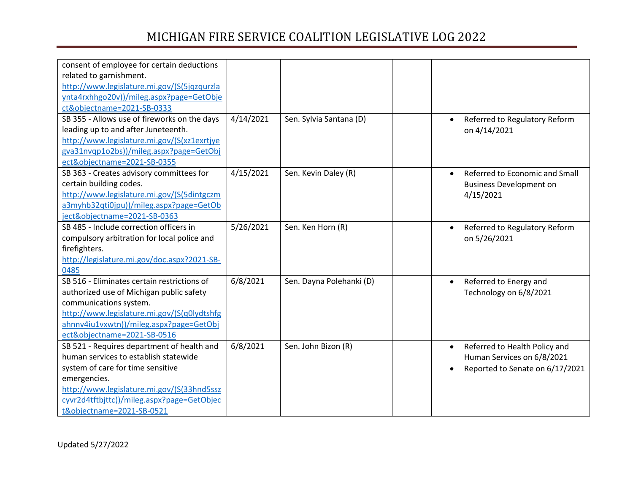| consent of employee for certain deductions   |           |                          |                                             |
|----------------------------------------------|-----------|--------------------------|---------------------------------------------|
| related to garnishment.                      |           |                          |                                             |
| http://www.legislature.mi.gov/(S(5jqzqurzla  |           |                          |                                             |
| ynta4rxhhgo20v))/mileg.aspx?page=GetObje     |           |                          |                                             |
| ct&objectname=2021-SB-0333                   |           |                          |                                             |
| SB 355 - Allows use of fireworks on the days | 4/14/2021 | Sen. Sylvia Santana (D)  | Referred to Regulatory Reform<br>$\bullet$  |
| leading up to and after Juneteenth.          |           |                          | on 4/14/2021                                |
| http://www.legislature.mi.gov/(S(xz1exrtjye  |           |                          |                                             |
| gva31nvqp1o2bs))/mileg.aspx?page=GetObj      |           |                          |                                             |
| ect&objectname=2021-SB-0355                  |           |                          |                                             |
| SB 363 - Creates advisory committees for     | 4/15/2021 | Sen. Kevin Daley (R)     | Referred to Economic and Small<br>$\bullet$ |
| certain building codes.                      |           |                          | <b>Business Development on</b>              |
| http://www.legislature.mi.gov/(S(5dintgczm   |           |                          | 4/15/2021                                   |
| a3myhb32qti0jpu))/mileg.aspx?page=GetOb      |           |                          |                                             |
| ject&objectname=2021-SB-0363                 |           |                          |                                             |
| SB 485 - Include correction officers in      | 5/26/2021 | Sen. Ken Horn (R)        | Referred to Regulatory Reform<br>$\bullet$  |
| compulsory arbitration for local police and  |           |                          | on 5/26/2021                                |
| firefighters.                                |           |                          |                                             |
| http://legislature.mi.gov/doc.aspx?2021-SB-  |           |                          |                                             |
| 0485                                         |           |                          |                                             |
| SB 516 - Eliminates certain restrictions of  | 6/8/2021  | Sen. Dayna Polehanki (D) | Referred to Energy and                      |
| authorized use of Michigan public safety     |           |                          | Technology on 6/8/2021                      |
| communications system.                       |           |                          |                                             |
| http://www.legislature.mi.gov/(S(q0lydtshfg  |           |                          |                                             |
| ahnnv4iu1vxwtn))/mileg.aspx?page=GetObj      |           |                          |                                             |
| ect&objectname=2021-SB-0516                  |           |                          |                                             |
| SB 521 - Requires department of health and   | 6/8/2021  | Sen. John Bizon (R)      | Referred to Health Policy and<br>$\bullet$  |
| human services to establish statewide        |           |                          | Human Services on 6/8/2021                  |
| system of care for time sensitive            |           |                          | Reported to Senate on 6/17/2021             |
| emergencies.                                 |           |                          |                                             |
| http://www.legislature.mi.gov/(S(33hnd5ssz   |           |                          |                                             |
| cyvr2d4tftbjttc))/mileg.aspx?page=GetObjec   |           |                          |                                             |
| t&objectname=2021-SB-0521                    |           |                          |                                             |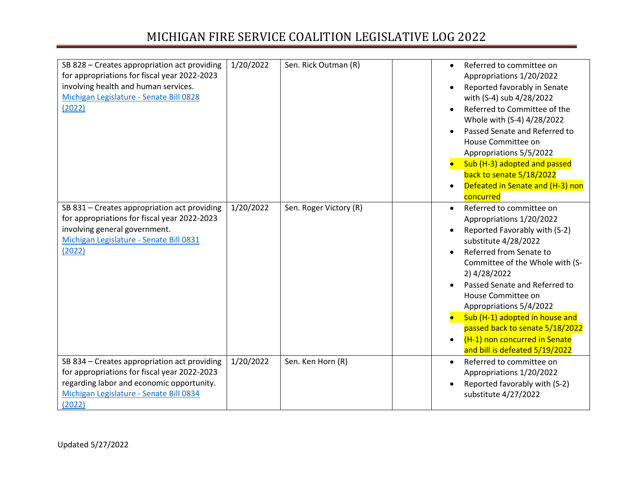| SB 828 - Creates appropriation act providing<br>for appropriations for fiscal year 2022-2023<br>involving health and human services.<br>Michigan Legislature - Senate Bill 0828<br>(2022)      | 1/20/2022 | Sen. Rick Outman (R)   | $\bullet$<br>$\bullet$ | Referred to committee on<br>Appropriations 1/20/2022<br>Reported favorably in Senate<br>with (S-4) sub 4/28/2022<br>Referred to Committee of the<br>Whole with (S-4) 4/28/2022<br>Passed Senate and Referred to<br>House Committee on<br>Appropriations 5/5/2022<br>Sub (H-3) adopted and passed<br>back to senate 5/18/2022<br>Defeated in Senate and (H-3) non<br>concurred                                         |
|------------------------------------------------------------------------------------------------------------------------------------------------------------------------------------------------|-----------|------------------------|------------------------|-----------------------------------------------------------------------------------------------------------------------------------------------------------------------------------------------------------------------------------------------------------------------------------------------------------------------------------------------------------------------------------------------------------------------|
| SB 831 - Creates appropriation act providing<br>for appropriations for fiscal year 2022-2023<br>involving general government.<br>Michigan Legislature - Senate Bill 0831<br>(2022)             | 1/20/2022 | Sen. Roger Victory (R) | $\bullet$              | Referred to committee on<br>Appropriations 1/20/2022<br>Reported Favorably with (S-2)<br>substitute 4/28/2022<br>Referred from Senate to<br>Committee of the Whole with (S-<br>2) 4/28/2022<br>Passed Senate and Referred to<br>House Committee on<br>Appropriations 5/4/2022<br>Sub (H-1) adopted in house and<br>passed back to senate 5/18/2022<br>(H-1) non concurred in Senate<br>and bill is defeated 5/19/2022 |
| SB 834 - Creates appropriation act providing<br>for appropriations for fiscal year 2022-2023<br>regarding labor and economic opportunity.<br>Michigan Legislature - Senate Bill 0834<br>(2022) | 1/20/2022 | Sen. Ken Horn (R)      | $\bullet$              | Referred to committee on<br>Appropriations 1/20/2022<br>Reported favorably with (S-2)<br>substitute 4/27/2022                                                                                                                                                                                                                                                                                                         |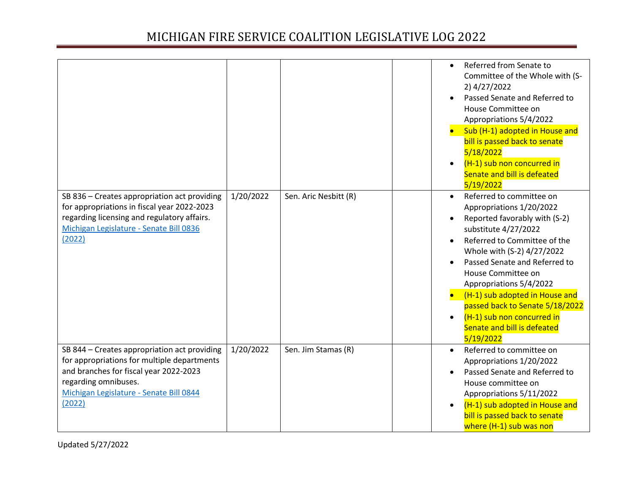|                                                                                                                                                                                                                    |           |                       | $\bullet$ | Referred from Senate to<br>Committee of the Whole with (S-<br>2) 4/27/2022<br>Passed Senate and Referred to<br>House Committee on<br>Appropriations 5/4/2022<br>Sub (H-1) adopted in House and<br>bill is passed back to senate<br>5/18/2022<br>(H-1) sub non concurred in<br>Senate and bill is defeated<br>5/19/2022                                                                                       |
|--------------------------------------------------------------------------------------------------------------------------------------------------------------------------------------------------------------------|-----------|-----------------------|-----------|--------------------------------------------------------------------------------------------------------------------------------------------------------------------------------------------------------------------------------------------------------------------------------------------------------------------------------------------------------------------------------------------------------------|
| SB 836 - Creates appropriation act providing<br>for appropriations in fiscal year 2022-2023<br>regarding licensing and regulatory affairs.<br>Michigan Legislature - Senate Bill 0836<br>(2022)                    | 1/20/2022 | Sen. Aric Nesbitt (R) | $\bullet$ | Referred to committee on<br>Appropriations 1/20/2022<br>Reported favorably with (S-2)<br>substitute 4/27/2022<br>Referred to Committee of the<br>Whole with (S-2) 4/27/2022<br>Passed Senate and Referred to<br>House Committee on<br>Appropriations 5/4/2022<br>(H-1) sub adopted in House and<br>passed back to Senate 5/18/2022<br>(H-1) sub non concurred in<br>Senate and bill is defeated<br>5/19/2022 |
| SB 844 - Creates appropriation act providing<br>for appropriations for multiple departments<br>and branches for fiscal year 2022-2023<br>regarding omnibuses.<br>Michigan Legislature - Senate Bill 0844<br>(2022) | 1/20/2022 | Sen. Jim Stamas (R)   | $\bullet$ | Referred to committee on<br>Appropriations 1/20/2022<br>Passed Senate and Referred to<br>House committee on<br>Appropriations 5/11/2022<br>(H-1) sub adopted in House and<br>bill is passed back to senate<br>where (H-1) sub was non                                                                                                                                                                        |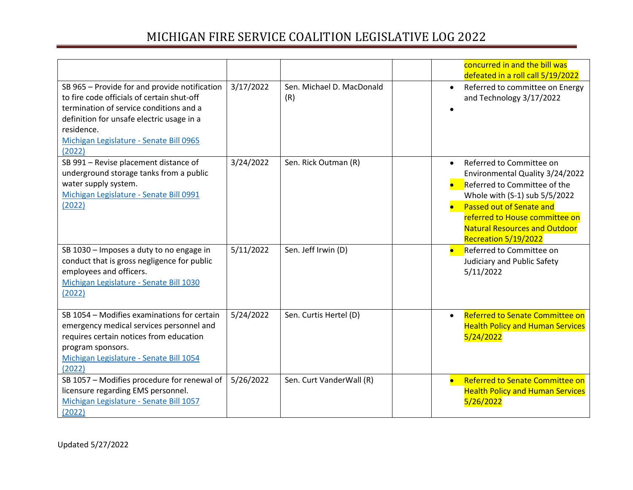|                                                                                                                                                                                                                                                        |           |                                  |                        | concurred in and the bill was<br>defeated in a roll call 5/19/2022                                                                                                                                                                                         |
|--------------------------------------------------------------------------------------------------------------------------------------------------------------------------------------------------------------------------------------------------------|-----------|----------------------------------|------------------------|------------------------------------------------------------------------------------------------------------------------------------------------------------------------------------------------------------------------------------------------------------|
| SB 965 - Provide for and provide notification<br>to fire code officials of certain shut-off<br>termination of service conditions and a<br>definition for unsafe electric usage in a<br>residence.<br>Michigan Legislature - Senate Bill 0965<br>(2022) | 3/17/2022 | Sen. Michael D. MacDonald<br>(R) | $\bullet$              | Referred to committee on Energy<br>and Technology 3/17/2022                                                                                                                                                                                                |
| SB 991 - Revise placement distance of<br>underground storage tanks from a public<br>water supply system.<br>Michigan Legislature - Senate Bill 0991<br>(2022)                                                                                          | 3/24/2022 | Sen. Rick Outman (R)             | $\bullet$<br>$\bullet$ | Referred to Committee on<br>Environmental Quality 3/24/2022<br>Referred to Committee of the<br>Whole with (S-1) sub 5/5/2022<br>Passed out of Senate and<br>referred to House committee on<br><b>Natural Resources and Outdoor</b><br>Recreation 5/19/2022 |
| SB 1030 - Imposes a duty to no engage in<br>conduct that is gross negligence for public<br>employees and officers.<br>Michigan Legislature - Senate Bill 1030<br>(2022)                                                                                | 5/11/2022 | Sen. Jeff Irwin (D)              | $\bullet$              | Referred to Committee on<br>Judiciary and Public Safety<br>5/11/2022                                                                                                                                                                                       |
| SB 1054 - Modifies examinations for certain<br>emergency medical services personnel and<br>requires certain notices from education<br>program sponsors.<br>Michigan Legislature - Senate Bill 1054<br>(2022)                                           | 5/24/2022 | Sen. Curtis Hertel (D)           | $\bullet$              | Referred to Senate Committee on<br><b>Health Policy and Human Services</b><br>5/24/2022                                                                                                                                                                    |
| SB 1057 - Modifies procedure for renewal of<br>licensure regarding EMS personnel.<br>Michigan Legislature - Senate Bill 1057<br>(2022)                                                                                                                 | 5/26/2022 | Sen. Curt VanderWall (R)         | $\bullet$              | <b>Referred to Senate Committee on</b><br><b>Health Policy and Human Services</b><br>5/26/2022                                                                                                                                                             |